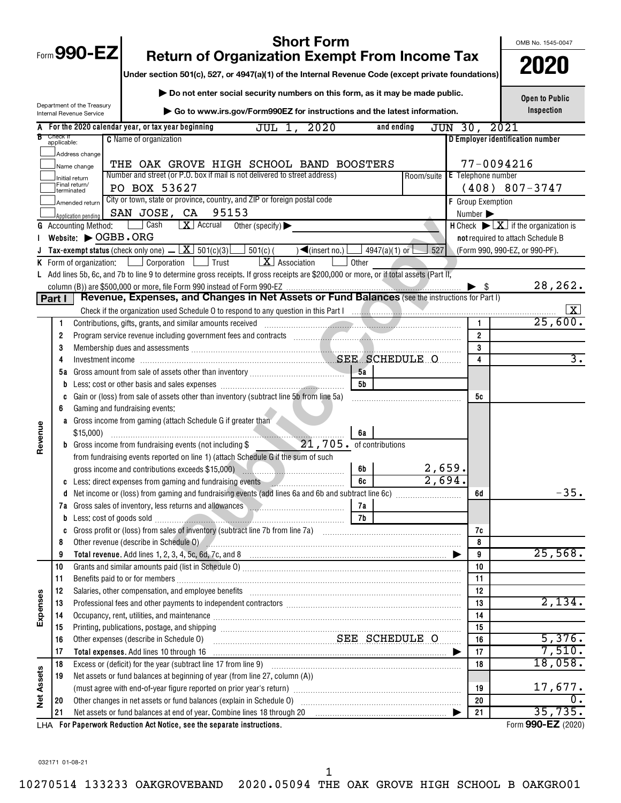|                   |                         |                                                        |                                                                                                                                                                                                                                                                               |                                                                                                    |                                       |                      | <b>Short Form</b>            |                |               |                               |                          |                |              | OMB No. 1545-0047                                                                  |                  |
|-------------------|-------------------------|--------------------------------------------------------|-------------------------------------------------------------------------------------------------------------------------------------------------------------------------------------------------------------------------------------------------------------------------------|----------------------------------------------------------------------------------------------------|---------------------------------------|----------------------|------------------------------|----------------|---------------|-------------------------------|--------------------------|----------------|--------------|------------------------------------------------------------------------------------|------------------|
|                   |                         | Form 990-EZ                                            |                                                                                                                                                                                                                                                                               | <b>Return of Organization Exempt From Income Tax</b>                                               |                                       |                      |                              |                |               |                               |                          |                |              |                                                                                    |                  |
|                   |                         |                                                        |                                                                                                                                                                                                                                                                               | Under section 501(c), 527, or 4947(a)(1) of the Internal Revenue Code (except private foundations) |                                       |                      |                              |                |               |                               |                          |                |              | 2020                                                                               |                  |
|                   |                         |                                                        |                                                                                                                                                                                                                                                                               | Do not enter social security numbers on this form, as it may be made public.                       |                                       |                      |                              |                |               |                               |                          |                |              |                                                                                    |                  |
|                   |                         | Department of the Treasury<br>Internal Revenue Service |                                                                                                                                                                                                                                                                               | Go to www.irs.gov/Form990EZ for instructions and the latest information.                           |                                       |                      |                              |                |               |                               |                          |                |              | <b>Open to Public</b><br>Inspection                                                |                  |
|                   |                         |                                                        | A For the 2020 calendar year, or tax year beginning                                                                                                                                                                                                                           |                                                                                                    | JUL 1,                                |                      | 2020                         |                | and ending    |                               |                          |                | JUN 30, 2021 |                                                                                    |                  |
|                   | Check if<br>applicable: |                                                        | <b>C</b> Name of organization                                                                                                                                                                                                                                                 |                                                                                                    |                                       |                      |                              |                |               |                               |                          |                |              | D Employer identification number                                                   |                  |
|                   |                         |                                                        |                                                                                                                                                                                                                                                                               |                                                                                                    |                                       |                      |                              |                |               |                               |                          |                |              |                                                                                    |                  |
|                   |                         | Address change<br>Name change                          | THE OAK GROVE HIGH SCHOOL BAND BOOSTERS                                                                                                                                                                                                                                       |                                                                                                    |                                       |                      |                              |                |               |                               |                          |                | 77-0094216   |                                                                                    |                  |
|                   |                         | Initial return                                         | Number and street (or P.O. box if mail is not delivered to street address)                                                                                                                                                                                                    |                                                                                                    |                                       |                      |                              |                |               | Room/suite E Telephone number |                          |                |              |                                                                                    |                  |
|                   |                         | Final return/<br>terminated                            | PO BOX 53627                                                                                                                                                                                                                                                                  |                                                                                                    |                                       |                      |                              |                |               |                               |                          |                |              | $(408)$ 807-3747                                                                   |                  |
|                   |                         | Amended return                                         | City or town, state or province, country, and ZIP or foreign postal code                                                                                                                                                                                                      |                                                                                                    |                                       |                      |                              |                |               |                               | <b>F</b> Group Exemption |                |              |                                                                                    |                  |
|                   |                         | Application pending                                    | SAN JOSE, CA 95153                                                                                                                                                                                                                                                            |                                                                                                    |                                       |                      |                              |                |               |                               |                          | Number >       |              |                                                                                    |                  |
|                   |                         | <b>G</b> Accounting Method:                            | Cash                                                                                                                                                                                                                                                                          | $\boxed{\mathbf{X}}$ Accrual                                                                       | Other (specify) $\blacktriangleright$ |                      |                              |                |               |                               |                          |                |              | H Check $\blacktriangleright \lfloor \underline{X} \rfloor$ if the organization is |                  |
|                   |                         | Website: CGBB.ORG                                      |                                                                                                                                                                                                                                                                               |                                                                                                    |                                       |                      |                              |                |               |                               |                          |                |              | not required to attach Schedule B                                                  |                  |
|                   |                         |                                                        | <b>Tax-exempt status</b> (check only one) $\underline{\mathbf{X}}$ 501(c)(3) $\underline{\mathbf{S}}$ 501(c) (                                                                                                                                                                |                                                                                                    |                                       |                      | $\triangleleft$ (insert no.) |                | 4947(a)(1) or | 527                           |                          |                |              | (Form 990, 990-EZ, or 990-PF).                                                     |                  |
|                   |                         |                                                        | <b>K</b> Form of organization: $\Box$ Corporation $\Box$                                                                                                                                                                                                                      | Trust                                                                                              |                                       | <b>X</b> Association |                              | Other          |               |                               |                          |                |              |                                                                                    |                  |
|                   |                         |                                                        | L Add lines 5b, 6c, and 7b to line 9 to determine gross receipts. If gross receipts are \$200,000 or more, or if total assets (Part II,                                                                                                                                       |                                                                                                    |                                       |                      |                              |                |               |                               |                          |                |              |                                                                                    |                  |
|                   |                         |                                                        |                                                                                                                                                                                                                                                                               |                                                                                                    |                                       |                      |                              |                |               |                               |                          | - \$           |              | 28,262.                                                                            |                  |
|                   | Part I                  |                                                        | Revenue, Expenses, and Changes in Net Assets or Fund Balances (see the instructions for Part I)<br>Check if the organization used Schedule 0 to respond to any question in this Part 1<br>Check if the organization used Schedule 0 to respond to any question in this Part 1 |                                                                                                    |                                       |                      |                              |                |               |                               |                          |                |              |                                                                                    |                  |
|                   |                         |                                                        |                                                                                                                                                                                                                                                                               |                                                                                                    |                                       |                      |                              |                |               |                               |                          |                |              |                                                                                    |                  |
|                   | 1<br>2                  |                                                        | Contributions, gifts, grants, and similar amounts received contract and contributions, gifts, grants, and similar amounts received contract and contract and contract and contract and contract and contract and contract and                                                 |                                                                                                    |                                       |                      |                              |                |               |                               |                          | $\overline{2}$ |              |                                                                                    |                  |
|                   | 3                       |                                                        |                                                                                                                                                                                                                                                                               |                                                                                                    |                                       |                      |                              |                |               |                               |                          | 3              |              |                                                                                    |                  |
|                   | 4                       |                                                        |                                                                                                                                                                                                                                                                               |                                                                                                    |                                       |                      |                              |                |               |                               |                          | 4              |              |                                                                                    | $\overline{3}$ . |
|                   | 5а                      |                                                        |                                                                                                                                                                                                                                                                               |                                                                                                    |                                       |                      |                              | 5a             |               |                               |                          |                |              |                                                                                    |                  |
|                   |                         |                                                        |                                                                                                                                                                                                                                                                               |                                                                                                    |                                       |                      |                              | 5 <sub>b</sub> |               |                               |                          |                |              |                                                                                    |                  |
|                   |                         |                                                        | Gain or (loss) from sale of assets other than inventory (subtract line 5b from line 5a)                                                                                                                                                                                       |                                                                                                    |                                       |                      |                              |                |               |                               |                          | 5c             |              |                                                                                    |                  |
|                   | 6                       |                                                        | Gaming and fundraising events:                                                                                                                                                                                                                                                |                                                                                                    |                                       |                      |                              |                |               |                               |                          |                |              |                                                                                    |                  |
|                   |                         |                                                        | a Gross income from gaming (attach Schedule G if greater than                                                                                                                                                                                                                 |                                                                                                    |                                       |                      |                              |                |               |                               |                          |                |              |                                                                                    |                  |
| Revenue           |                         | $$15,000$ )                                            | Ille from gamma ,<br>$21, 705.$ of contributions                                                                                                                                                                                                                              |                                                                                                    |                                       |                      |                              |                |               |                               |                          |                |              |                                                                                    |                  |
|                   |                         |                                                        | <b>b</b> Gross income from fundraising events (not including \$                                                                                                                                                                                                               |                                                                                                    |                                       |                      |                              |                |               |                               |                          |                |              |                                                                                    |                  |
|                   |                         |                                                        | from fundraising events reported on line 1) (attach Schedule G if the sum of such                                                                                                                                                                                             |                                                                                                    |                                       |                      |                              |                |               |                               |                          |                |              |                                                                                    |                  |
|                   |                         |                                                        | gross income and contributions exceeds \$15,000)                                                                                                                                                                                                                              |                                                                                                    |                                       |                      |                              | 6b             |               | 2,659.                        |                          |                |              |                                                                                    |                  |
|                   |                         |                                                        | c Less: direct expenses from gaming and fundraising events _____________________                                                                                                                                                                                              |                                                                                                    |                                       |                      |                              | 6c             |               | 2,694.                        |                          |                |              |                                                                                    |                  |
|                   | a                       |                                                        |                                                                                                                                                                                                                                                                               |                                                                                                    |                                       |                      |                              |                |               |                               |                          | 6d             |              | -35.                                                                               |                  |
|                   |                         |                                                        | 7a Gross sales of inventory, less returns and allowances <i>manumentos</i> and allow and allowances                                                                                                                                                                           |                                                                                                    |                                       |                      |                              | 7a             |               |                               |                          |                |              |                                                                                    |                  |
|                   |                         |                                                        | b Less: cost of goods sold with a series of the series of the series of the series of the series of the series of the series of the series of the series of the series of the series of the series of the series of the series                                                |                                                                                                    |                                       |                      |                              | 7b             |               |                               |                          |                |              |                                                                                    |                  |
|                   | C<br>8                  |                                                        |                                                                                                                                                                                                                                                                               |                                                                                                    |                                       |                      |                              |                |               |                               |                          | 7c<br>8        |              |                                                                                    |                  |
|                   | 9                       |                                                        |                                                                                                                                                                                                                                                                               |                                                                                                    |                                       |                      |                              |                |               |                               |                          | 9              |              | 25,568.                                                                            |                  |
|                   | 10                      |                                                        |                                                                                                                                                                                                                                                                               |                                                                                                    |                                       |                      |                              |                |               |                               |                          | 10             |              |                                                                                    |                  |
|                   | 11                      |                                                        |                                                                                                                                                                                                                                                                               |                                                                                                    |                                       |                      |                              |                |               |                               |                          | 11             |              |                                                                                    |                  |
|                   | 12                      |                                                        | Salaries, other compensation, and employee benefits [11] manufactures in the comparison of the compensation, and employee benefits [11] manufactures in the compensation and employee benefits [11] manufactures in the compet                                                |                                                                                                    |                                       |                      |                              |                |               |                               |                          | 12             |              |                                                                                    |                  |
|                   | 13                      |                                                        |                                                                                                                                                                                                                                                                               |                                                                                                    |                                       |                      |                              |                |               |                               |                          | 13             |              | 2,134.                                                                             |                  |
| Expenses          | 14                      |                                                        | Occupancy, rent, utilities, and maintenance manufactured and according term of the manufacture of the manufacture                                                                                                                                                             |                                                                                                    |                                       |                      |                              |                |               |                               |                          | 14             |              |                                                                                    |                  |
|                   | 15                      |                                                        |                                                                                                                                                                                                                                                                               |                                                                                                    |                                       |                      |                              |                |               |                               |                          | 15             |              |                                                                                    |                  |
|                   | 16                      |                                                        | Other expenses (describe in Schedule O)                                                                                                                                                                                                                                       |                                                                                                    | SEE SCHEDULE O                        |                      |                              |                |               |                               |                          | 16             |              | 5,376.                                                                             |                  |
|                   | 17                      |                                                        |                                                                                                                                                                                                                                                                               |                                                                                                    |                                       |                      |                              |                |               |                               |                          | 17             |              | 7,510.                                                                             |                  |
|                   | 18                      |                                                        |                                                                                                                                                                                                                                                                               |                                                                                                    |                                       |                      |                              |                |               |                               |                          | 18             |              | 18,058.                                                                            |                  |
| <b>Net Assets</b> | 19                      |                                                        | Net assets or fund balances at beginning of year (from line 27, column (A))                                                                                                                                                                                                   |                                                                                                    |                                       |                      |                              |                |               |                               |                          |                |              |                                                                                    |                  |
|                   |                         |                                                        |                                                                                                                                                                                                                                                                               |                                                                                                    |                                       |                      |                              |                |               |                               |                          | 19             |              | 17,677.                                                                            |                  |
|                   | 20                      |                                                        |                                                                                                                                                                                                                                                                               |                                                                                                    |                                       |                      |                              |                |               |                               |                          | 20             |              | 35,735.                                                                            | $\overline{0}$ . |
|                   | 21                      |                                                        | Net assets or fund balances at end of year. Combine lines 18 through 20 [11] [20] [11] [11] [11] Net assets or fund balances at end of year. Combine lines 18 through 20<br>LHA For Paperwork Reduction Act Notice, see the separate instructions.                            |                                                                                                    |                                       |                      |                              |                |               |                               |                          | 21             |              | Form 990-EZ (2020)                                                                 |                  |
|                   |                         |                                                        |                                                                                                                                                                                                                                                                               |                                                                                                    |                                       |                      |                              |                |               |                               |                          |                |              |                                                                                    |                  |

032171 01-08-21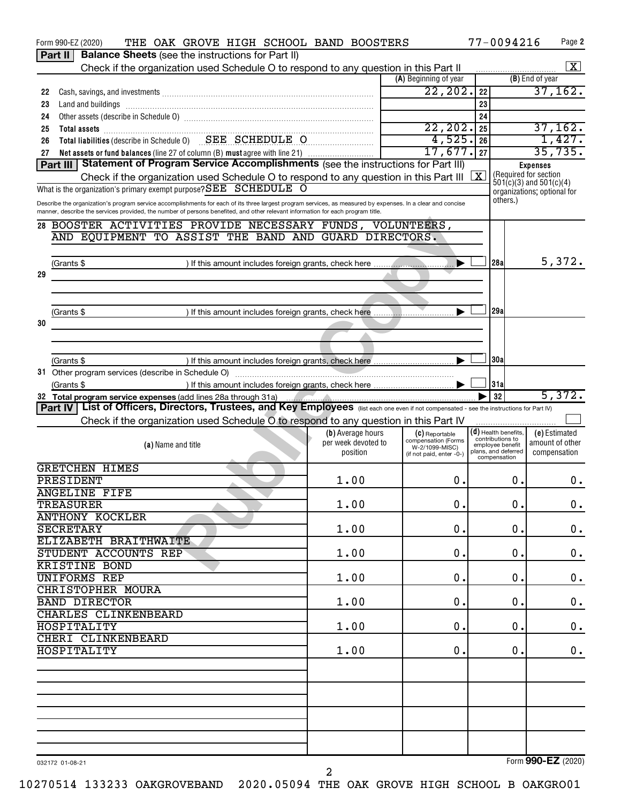| THE OAK GROVE HIGH SCHOOL BAND BOOSTERS<br>Form 990-EZ (2020)                                                                                                                                                                                                                                  |                     |                                            |                         | 77-0094216                           | Page 2                                    |
|------------------------------------------------------------------------------------------------------------------------------------------------------------------------------------------------------------------------------------------------------------------------------------------------|---------------------|--------------------------------------------|-------------------------|--------------------------------------|-------------------------------------------|
| <b>Balance Sheets</b> (see the instructions for Part II)<br>Part II                                                                                                                                                                                                                            |                     |                                            |                         |                                      |                                           |
| Check if the organization used Schedule O to respond to any question in this Part II                                                                                                                                                                                                           |                     |                                            |                         |                                      | X                                         |
|                                                                                                                                                                                                                                                                                                |                     | (A) Beginning of year                      |                         |                                      | (B) End of year                           |
| 22                                                                                                                                                                                                                                                                                             |                     | 22, 202.                                   | 22                      |                                      | 37,162.                                   |
| Land and buildings<br>23                                                                                                                                                                                                                                                                       |                     |                                            | 23                      |                                      |                                           |
| 24                                                                                                                                                                                                                                                                                             |                     |                                            | 24                      |                                      |                                           |
| 25<br>Total assets<br>Total liabilities (describe in Schedule 0)<br>SEE SCHEDULE O                                                                                                                                                                                                             |                     | 22, 202.                                   | 25                      |                                      | 37,162.                                   |
| 26                                                                                                                                                                                                                                                                                             |                     | 4,525.                                     | 26                      |                                      | 1,427.                                    |
| Net assets or fund balances (line 27 of column (B) must agree with line 21)<br>27                                                                                                                                                                                                              |                     | 17,677.                                    | 27                      |                                      | 35,735.                                   |
| Part III   Statement of Program Service Accomplishments (see the instructions for Part III)                                                                                                                                                                                                    |                     |                                            |                         |                                      | <b>Expenses</b><br>(Required for section) |
| Check if the organization used Schedule O to respond to any question in this Part III                                                                                                                                                                                                          |                     |                                            | $\overline{\mathbf{X}}$ |                                      | $\frac{1}{5}01(c)(3)$ and $501(c)(4)$     |
| What is the organization's primary exempt purpose? SEE SCHEDULE O                                                                                                                                                                                                                              |                     |                                            |                         |                                      | organizations; optional for               |
| Describe the organization's program service accomplishments for each of its three largest program services, as measured by expenses. In a clear and concise<br>manner, describe the services provided, the number of persons benefited, and other relevant information for each program title. |                     |                                            |                         | others.)                             |                                           |
|                                                                                                                                                                                                                                                                                                |                     |                                            |                         |                                      |                                           |
| BOOSTER ACTIVITIES PROVIDE NECESSARY FUNDS, VOLUNTEERS,<br>28                                                                                                                                                                                                                                  |                     |                                            |                         |                                      |                                           |
| AND EQUIPMENT TO ASSIST THE BAND AND GUARD DIRECTORS.                                                                                                                                                                                                                                          |                     |                                            |                         |                                      |                                           |
|                                                                                                                                                                                                                                                                                                |                     |                                            |                         |                                      |                                           |
| (Grants \$<br>) If this amount includes foreign grants, check here                                                                                                                                                                                                                             |                     |                                            |                         | 28a                                  | 5,372.                                    |
| 29                                                                                                                                                                                                                                                                                             |                     |                                            |                         |                                      |                                           |
|                                                                                                                                                                                                                                                                                                |                     |                                            |                         |                                      |                                           |
|                                                                                                                                                                                                                                                                                                |                     |                                            |                         |                                      |                                           |
| (Grants \$                                                                                                                                                                                                                                                                                     |                     |                                            |                         | 29a                                  |                                           |
| 30                                                                                                                                                                                                                                                                                             |                     |                                            |                         |                                      |                                           |
|                                                                                                                                                                                                                                                                                                |                     |                                            |                         |                                      |                                           |
|                                                                                                                                                                                                                                                                                                |                     |                                            |                         |                                      |                                           |
| (Grants \$                                                                                                                                                                                                                                                                                     |                     |                                            |                         | 30al                                 |                                           |
| 31 Other program services (describe in Schedule O)                                                                                                                                                                                                                                             |                     |                                            |                         |                                      |                                           |
| (Grants \$                                                                                                                                                                                                                                                                                     |                     |                                            |                         | 31al<br>32                           | 5,372.                                    |
| 32 Total program service expenses (add lines 28a through 31a)<br>List of Officers, Directors, Trustees, and Key Employees (list each one even if not compensated - see the instructions for Part IV)<br><b>Part IV</b>                                                                         |                     |                                            |                         |                                      |                                           |
| Check if the organization used Schedule O to respond to any question in this Part IV                                                                                                                                                                                                           |                     |                                            |                         |                                      |                                           |
|                                                                                                                                                                                                                                                                                                | (b) Average hours   | (C) Reportable                             |                         | $(d)$ Health benefits,               | (e) Estimated                             |
| (a) Name and title                                                                                                                                                                                                                                                                             | per week devoted to | compensation (Forms                        |                         | contributions to<br>employee benefit | amount of other                           |
|                                                                                                                                                                                                                                                                                                | position            | W-2/1099-MISC)<br>(if not paid, enter -0-) |                         | plans, and deferred<br>compensation  | compensation                              |
| <b>GRETCHEN HIMES</b>                                                                                                                                                                                                                                                                          |                     |                                            |                         |                                      |                                           |
| PRESIDENT                                                                                                                                                                                                                                                                                      | 1.00                |                                            |                         |                                      |                                           |
| <b>ANGELINE FIFE</b>                                                                                                                                                                                                                                                                           |                     |                                            |                         |                                      |                                           |
|                                                                                                                                                                                                                                                                                                |                     | 0.                                         |                         | о.                                   | Ο.                                        |
|                                                                                                                                                                                                                                                                                                |                     |                                            |                         |                                      |                                           |
| <b>TREASURER</b>                                                                                                                                                                                                                                                                               | 1.00                | 0.                                         |                         | 0.                                   | $\mathbf 0$ .                             |
| <b>ANTHONY KOCKLER</b>                                                                                                                                                                                                                                                                         |                     |                                            |                         |                                      |                                           |
| <b>SECRETARY</b>                                                                                                                                                                                                                                                                               | 1.00                | 0.                                         |                         | 0.                                   | $\boldsymbol{0}$ .                        |
| ELIZABETH BRAITHWAITE                                                                                                                                                                                                                                                                          |                     |                                            |                         |                                      |                                           |
| STUDENT ACCOUNTS REP                                                                                                                                                                                                                                                                           | 1.00                | 0.                                         |                         | 0.                                   | $\boldsymbol{0}$ .                        |
| <b>KRISTINE BOND</b>                                                                                                                                                                                                                                                                           |                     |                                            |                         |                                      |                                           |
| <b>UNIFORMS REP</b>                                                                                                                                                                                                                                                                            | 1.00                | 0.                                         |                         | 0.                                   | $\boldsymbol{0}$ .                        |
| <b>CHRISTOPHER MOURA</b>                                                                                                                                                                                                                                                                       |                     |                                            |                         |                                      |                                           |
| <b>BAND DIRECTOR</b>                                                                                                                                                                                                                                                                           | 1.00                | 0.                                         |                         | 0.                                   | $\boldsymbol{0}$ .                        |
| CHARLES CLINKENBEARD                                                                                                                                                                                                                                                                           |                     | 0.                                         |                         | 0.                                   |                                           |
| HOSPITALITY                                                                                                                                                                                                                                                                                    | 1.00                |                                            |                         |                                      | $\mathbf 0$ .                             |
| <b>CHERI CLINKENBEARD</b><br>HOSPITALITY                                                                                                                                                                                                                                                       | 1.00                | 0.                                         |                         | 0.                                   | 0.                                        |
|                                                                                                                                                                                                                                                                                                |                     |                                            |                         |                                      |                                           |
|                                                                                                                                                                                                                                                                                                |                     |                                            |                         |                                      |                                           |
|                                                                                                                                                                                                                                                                                                |                     |                                            |                         |                                      |                                           |
|                                                                                                                                                                                                                                                                                                |                     |                                            |                         |                                      |                                           |
|                                                                                                                                                                                                                                                                                                |                     |                                            |                         |                                      |                                           |
|                                                                                                                                                                                                                                                                                                |                     |                                            |                         |                                      |                                           |
|                                                                                                                                                                                                                                                                                                |                     |                                            |                         |                                      |                                           |
|                                                                                                                                                                                                                                                                                                |                     |                                            |                         |                                      |                                           |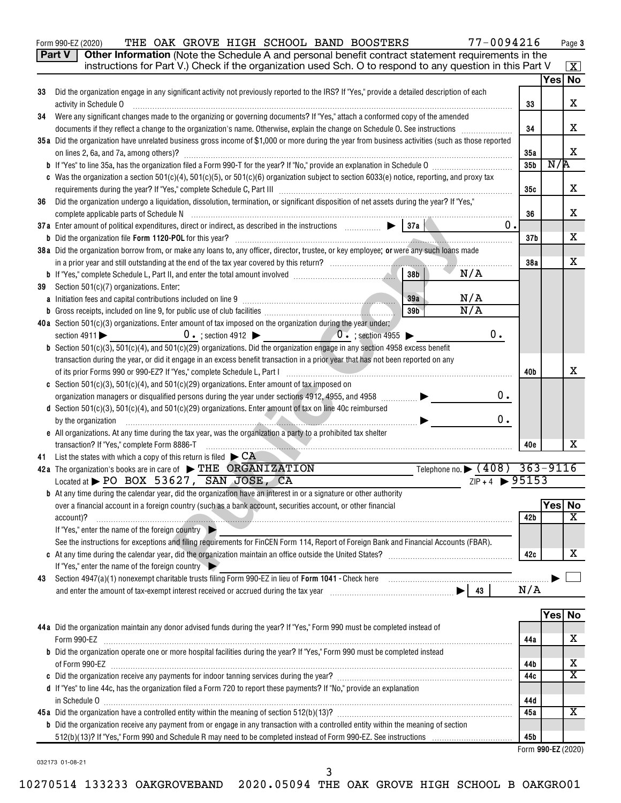| Form 990-EZ (2020) |  |  |  | THE OAK GROVE HIGH SCHOOL BAND BOOSTERS | 77-0094216                                                                                                                                      |         | Page                    |
|--------------------|--|--|--|-----------------------------------------|-------------------------------------------------------------------------------------------------------------------------------------------------|---------|-------------------------|
| <b>Part V</b>      |  |  |  |                                         | <b>Other Information</b> (Note the Schedule A and personal benefit contract statement requirements in the                                       |         |                         |
|                    |  |  |  |                                         | instructions for Part V.) Check if the organization used Sch. O to respond to any question in this Part V                                       |         | $\overline{\mathbf{x}}$ |
|                    |  |  |  |                                         |                                                                                                                                                 | Yes  No |                         |
|                    |  |  |  |                                         | 33 Did the organization engage in any significant activity not previously reported to the IRS? If "Yes," provide a detailed description of each |         |                         |

|    | instructions for Part V.) Check if the organization used Sch. O to respond to any question in this Part V                                                                                                                      |                 |         | $\mathbf{X}$ |
|----|--------------------------------------------------------------------------------------------------------------------------------------------------------------------------------------------------------------------------------|-----------------|---------|--------------|
|    |                                                                                                                                                                                                                                |                 | Yes No  |              |
| 33 | Did the organization engage in any significant activity not previously reported to the IRS? If "Yes," provide a detailed description of each                                                                                   |                 |         |              |
|    | activity in Schedule O                                                                                                                                                                                                         | 33              |         | X            |
| 34 | Were any significant changes made to the organizing or governing documents? If "Yes," attach a conformed copy of the amended                                                                                                   |                 |         |              |
|    |                                                                                                                                                                                                                                | 34              |         | X            |
|    | 35a Did the organization have unrelated business gross income of \$1,000 or more during the year from business activities (such as those reported                                                                              |                 |         |              |
|    | on lines 2, 6a, and 7a, among others)?                                                                                                                                                                                         | 35a             |         | X            |
|    |                                                                                                                                                                                                                                | 35b             | N/R     |              |
|    | c Was the organization a section $501(c)(4)$ , $501(c)(5)$ , or $501(c)(6)$ organization subject to section 6033(e) notice, reporting, and proxy tax                                                                           |                 |         |              |
|    |                                                                                                                                                                                                                                | 35с             |         | X            |
| 36 | Did the organization undergo a liquidation, dissolution, termination, or significant disposition of net assets during the year? If "Yes,"                                                                                      |                 |         |              |
|    |                                                                                                                                                                                                                                | 36              |         | х            |
|    | 0.<br>37a Enter amount of political expenditures, direct or indirect, as described in the instructions<br>37a                                                                                                                  |                 |         |              |
|    | <b>b</b> Did the organization file Form 1120-POL for this year?                                                                                                                                                                | 37 <sub>b</sub> |         | х            |
|    | 38a Did the organization borrow from, or make any loans to, any officer, director, trustee, or key employee; or were any such loans made                                                                                       |                 |         |              |
|    |                                                                                                                                                                                                                                | 38a             |         | х            |
|    | N/A<br>b If "Yes," complete Schedule L, Part II, and enter the total amount involved [11] [11] [12] Manuscommunical L<br>38 <sub>b</sub>                                                                                       |                 |         |              |
|    | 39 Section 501(c)(7) organizations. Enter:                                                                                                                                                                                     |                 |         |              |
|    | N/A<br>39a<br>a Initiation fees and capital contributions included on line 9 [11] [11] matter contract the same contributions included on line 9                                                                               |                 |         |              |
|    | N/A<br>39 <sub>b</sub>                                                                                                                                                                                                         |                 |         |              |
|    | 40a Section 501(c)(3) organizations. Enter amount of tax imposed on the organization during the year under:<br>0.                                                                                                              |                 |         |              |
|    | $0 \cdot$ ; section 4912 $\bullet$ $0 \cdot$ ; section 4955<br>section $4911$                                                                                                                                                  |                 |         |              |
|    | <b>b</b> Section 501(c)(3), 501(c)(4), and 501(c)(29) organizations. Did the organization engage in any section 4958 excess benefit                                                                                            |                 |         |              |
|    | transaction during the year, or did it engage in an excess benefit transaction in a prior year that has not been reported on any                                                                                               |                 |         | х            |
|    | of its prior Forms 990 or 990-EZ? If "Yes," complete Schedule L, Part I                                                                                                                                                        | 40b             |         |              |
|    | c Section 501(c)(3), 501(c)(4), and 501(c)(29) organizations. Enter amount of tax imposed on<br>$0$ .<br>organization managers or disqualified persons during the year under sections 4912, 4955, and 4958                     |                 |         |              |
|    | d Section 501(c)(3), 501(c)(4), and 501(c)(29) organizations. Enter amount of tax on line 40c reimbursed                                                                                                                       |                 |         |              |
|    | 0.<br>by the organization                                                                                                                                                                                                      |                 |         |              |
|    | e All organizations. At any time during the tax year, was the organization a party to a prohibited tax shelter                                                                                                                 |                 |         |              |
|    | transaction? If "Yes," complete Form 8886-T                                                                                                                                                                                    | 40e             |         | x            |
| 41 | List the states with which a copy of this return is filed $\blacktriangleright$ CA                                                                                                                                             |                 |         |              |
|    | Telephone no. $\triangleright$ (408) 363-9116<br>42a The organization's books are in care of $\blacktriangleright$ THE ORGANIZATION                                                                                            |                 |         |              |
|    | Located at $\triangleright$ PO BOX 53627, SAN JOSE, CA<br>$ZIP + 4$                                                                                                                                                            | $\sqrt{95153}$  |         |              |
|    | <b>b</b> At any time during the calendar year, did the organization have an interest in or a signature or other authority                                                                                                      |                 |         |              |
|    | over a financial account in a foreign country (such as a bank account, securities account, or other financial                                                                                                                  |                 | Yes  No |              |
|    | account)?                                                                                                                                                                                                                      | 42 <sub>b</sub> |         | ∡⊾           |
|    | If "Yes," enter the name of the foreign country                                                                                                                                                                                |                 |         |              |
|    | See the instructions for exceptions and filing requirements for FinCEN Form 114, Report of Foreign Bank and Financial Accounts (FBAR).                                                                                         |                 |         |              |
|    |                                                                                                                                                                                                                                | 42c             |         | х            |
|    | If "Yes," enter the name of the foreign country                                                                                                                                                                                |                 |         |              |
| 43 | Section 4947(a)(1) nonexempt charitable trusts filing Form 990-EZ in lieu of Form 1041 - Check here manufactured and the manufactured with the Section 4947(a)(1) nonexempt charitable trusts filing Form 990-EZ in lieu of Fo |                 |         |              |
|    | and enter the amount of tax-exempt interest received or accrued during the tax year $\ldots$ [2000] and enter the amount of tax-exempt interest received or accrued during the tax year $\ldots$                               | N/A             |         |              |
|    |                                                                                                                                                                                                                                |                 |         |              |
|    |                                                                                                                                                                                                                                |                 | Yes No  |              |
|    | 44a Did the organization maintain any donor advised funds during the year? If "Yes," Form 990 must be completed instead of                                                                                                     |                 |         |              |
|    | Form 990-EZ                                                                                                                                                                                                                    | 44a             |         | х            |
|    | b Did the organization operate one or more hospital facilities during the year? If "Yes," Form 990 must be completed instead                                                                                                   |                 |         |              |

**abcd**  $rac{\text{X}}{\text{X}}$  $\frac{\text{X}}{\text{X}}$ of Form 990-EZ  $\ldots$   $\ldots$   $\ldots$   $\ldots$   $\ldots$   $\ldots$   $\ldots$   $\ldots$   $\ldots$   $\ldots$   $\ldots$   $\ldots$   $\ldots$   $\ldots$   $\ldots$   $\ldots$   $\ldots$ **44b** Х **44c**  $\overline{\texttt{x}}$ Did the organization receive any payments for indoor tanning services during the year? ~~~~~~~~~~~~~~~~~~~~~~~~ If "Yes" to line 44c, has the organization filed a Form 720 to report these payments? If "No," provide an explanation **44d** in Schedule O ~~~~~~~~~~~~~~~~~~~~~~~~~~~~~~~~~~~~~~~~~~~~~~~~~~~~~~~~ **45a** Х **45** Did the organization have a controlled entity within the meaning of section 512(b)(13)? ~~~~~~~~~~~~~~~~~~~~~~~~ **a** Did the organization have a controlled entity within the meaning of section 512(b)(13)? …………………………………………………<br>**b** Did the organization receive any payment from or engage in any transaction with a controlled entity within 512(b)(13)? If "Yes," Form 990 and Schedule R may need to be completed instead of Form 990-EZ. See instructions **45b** 

032173 01-08-21

 **990-EZ** Form (2020)

**3**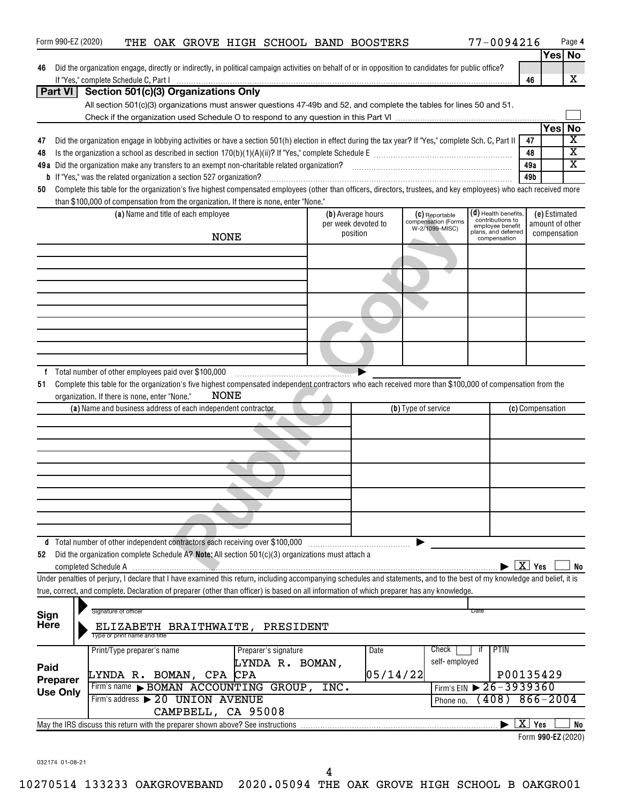| Form 990-EZ (2020)                                                                                                                                        |                                                                                                      |                                     |                    |             |     | THE OAK GROVE HIGH SCHOOL BAND BOOSTERS                                                           |      |                                 |                     |                                                                                                                                                                                                                                |      | 77-0094216                                   |         |                                 | Page 4                  |
|-----------------------------------------------------------------------------------------------------------------------------------------------------------|------------------------------------------------------------------------------------------------------|-------------------------------------|--------------------|-------------|-----|---------------------------------------------------------------------------------------------------|------|---------------------------------|---------------------|--------------------------------------------------------------------------------------------------------------------------------------------------------------------------------------------------------------------------------|------|----------------------------------------------|---------|---------------------------------|-------------------------|
|                                                                                                                                                           |                                                                                                      |                                     |                    |             |     |                                                                                                   |      |                                 |                     |                                                                                                                                                                                                                                |      |                                              |         | Yes No                          |                         |
| 46                                                                                                                                                        |                                                                                                      |                                     |                    |             |     |                                                                                                   |      |                                 |                     | Did the organization engage, directly or indirectly, in political campaign activities on behalf of or in opposition to candidates for public office?                                                                           |      |                                              |         |                                 |                         |
|                                                                                                                                                           |                                                                                                      |                                     |                    |             |     |                                                                                                   |      |                                 |                     | If "Yes," complete Schedule C, Part I music content to the content of the content of the C and the C and the C and the C and the C and the C and the C and the C and the C and the C and the C and the C and the C and the C a |      |                                              | 46      |                                 | X                       |
| Part VI   Section 501(c)(3) Organizations Only                                                                                                            |                                                                                                      |                                     |                    |             |     |                                                                                                   |      |                                 |                     |                                                                                                                                                                                                                                |      |                                              |         |                                 |                         |
|                                                                                                                                                           |                                                                                                      |                                     |                    |             |     |                                                                                                   |      |                                 |                     | All section 501(c)(3) organizations must answer questions 47-49b and 52, and complete the tables for lines 50 and 51.                                                                                                          |      |                                              |         |                                 |                         |
|                                                                                                                                                           |                                                                                                      |                                     |                    |             |     |                                                                                                   |      |                                 |                     |                                                                                                                                                                                                                                |      |                                              |         | Yes                             | No                      |
| 47                                                                                                                                                        |                                                                                                      |                                     |                    |             |     |                                                                                                   |      |                                 |                     | Did the organization engage in lobbying activities or have a section 501(h) election in effect during the tax year? If "Yes," complete Sch. C, Part II                                                                         |      |                                              | 47      |                                 | $\overline{\text{x}}$   |
| 48                                                                                                                                                        |                                                                                                      |                                     |                    |             |     |                                                                                                   |      |                                 |                     |                                                                                                                                                                                                                                |      |                                              | 48      |                                 | $\overline{\text{x}}$   |
|                                                                                                                                                           |                                                                                                      |                                     |                    |             |     |                                                                                                   |      |                                 |                     |                                                                                                                                                                                                                                |      |                                              | 49a     |                                 | $\overline{\mathtt{x}}$ |
|                                                                                                                                                           |                                                                                                      |                                     |                    |             |     |                                                                                                   |      |                                 |                     |                                                                                                                                                                                                                                |      |                                              | 49b     |                                 |                         |
| 50                                                                                                                                                        |                                                                                                      |                                     |                    |             |     |                                                                                                   |      |                                 |                     | Complete this table for the organization's five highest compensated employees (other than officers, directors, trustees, and key employees) who each received more                                                             |      |                                              |         |                                 |                         |
|                                                                                                                                                           |                                                                                                      |                                     |                    |             |     | than \$100,000 of compensation from the organization. If there is none, enter "None."             |      |                                 |                     |                                                                                                                                                                                                                                |      |                                              |         |                                 |                         |
|                                                                                                                                                           |                                                                                                      | (a) Name and title of each employee |                    |             |     |                                                                                                   |      | (b) Average hours               |                     | (C) Reportable<br>compensation (Forms                                                                                                                                                                                          |      | (d) Health benefits,<br>contributions to     |         | (e) Estimated                   |                         |
|                                                                                                                                                           |                                                                                                      |                                     |                    |             |     |                                                                                                   |      | per week devoted to<br>position |                     | W-2/1099-MISC)                                                                                                                                                                                                                 |      | employee benefit<br>plans, and deferred      |         | amount of other<br>compensation |                         |
|                                                                                                                                                           |                                                                                                      |                                     |                    | <b>NONE</b> |     |                                                                                                   |      |                                 |                     |                                                                                                                                                                                                                                |      | compensation                                 |         |                                 |                         |
|                                                                                                                                                           |                                                                                                      |                                     |                    |             |     |                                                                                                   |      |                                 |                     |                                                                                                                                                                                                                                |      |                                              |         |                                 |                         |
|                                                                                                                                                           |                                                                                                      |                                     |                    |             |     |                                                                                                   |      |                                 |                     |                                                                                                                                                                                                                                |      |                                              |         |                                 |                         |
|                                                                                                                                                           |                                                                                                      |                                     |                    |             |     |                                                                                                   |      |                                 |                     |                                                                                                                                                                                                                                |      |                                              |         |                                 |                         |
|                                                                                                                                                           |                                                                                                      |                                     |                    |             |     |                                                                                                   |      |                                 |                     |                                                                                                                                                                                                                                |      |                                              |         |                                 |                         |
|                                                                                                                                                           |                                                                                                      |                                     |                    |             |     |                                                                                                   |      |                                 |                     |                                                                                                                                                                                                                                |      |                                              |         |                                 |                         |
|                                                                                                                                                           |                                                                                                      |                                     |                    |             |     |                                                                                                   |      |                                 |                     |                                                                                                                                                                                                                                |      |                                              |         |                                 |                         |
|                                                                                                                                                           |                                                                                                      |                                     |                    |             |     |                                                                                                   |      |                                 |                     |                                                                                                                                                                                                                                |      |                                              |         |                                 |                         |
|                                                                                                                                                           |                                                                                                      |                                     |                    |             |     |                                                                                                   |      |                                 |                     |                                                                                                                                                                                                                                |      |                                              |         |                                 |                         |
|                                                                                                                                                           |                                                                                                      |                                     |                    |             |     |                                                                                                   |      |                                 |                     |                                                                                                                                                                                                                                |      |                                              |         |                                 |                         |
|                                                                                                                                                           | Total number of other employees paid over \$100,000<br>organization. If there is none, enter "None." |                                     |                    | <b>NONE</b> |     |                                                                                                   |      |                                 |                     | Complete this table for the organization's five highest compensated independent contractors who each received more than \$100,000 of compensation from the                                                                     |      |                                              |         |                                 |                         |
| $\mathbf f$                                                                                                                                               | (a) Name and business address of each independent contractor                                         |                                     |                    |             |     |                                                                                                   |      |                                 | (b) Type of service |                                                                                                                                                                                                                                |      |                                              |         | (c) Compensation                |                         |
|                                                                                                                                                           |                                                                                                      |                                     |                    |             |     |                                                                                                   |      |                                 |                     |                                                                                                                                                                                                                                |      |                                              |         |                                 |                         |
|                                                                                                                                                           |                                                                                                      |                                     |                    |             |     |                                                                                                   |      |                                 |                     |                                                                                                                                                                                                                                |      |                                              |         |                                 |                         |
|                                                                                                                                                           |                                                                                                      |                                     |                    |             |     |                                                                                                   |      |                                 |                     |                                                                                                                                                                                                                                |      |                                              |         |                                 |                         |
|                                                                                                                                                           |                                                                                                      |                                     |                    |             |     |                                                                                                   |      |                                 |                     |                                                                                                                                                                                                                                |      |                                              |         |                                 |                         |
|                                                                                                                                                           |                                                                                                      |                                     |                    |             |     |                                                                                                   |      |                                 |                     |                                                                                                                                                                                                                                |      |                                              |         |                                 |                         |
|                                                                                                                                                           |                                                                                                      |                                     |                    |             |     |                                                                                                   |      |                                 |                     |                                                                                                                                                                                                                                |      |                                              |         |                                 |                         |
|                                                                                                                                                           |                                                                                                      |                                     |                    |             |     |                                                                                                   |      |                                 |                     |                                                                                                                                                                                                                                |      |                                              |         |                                 |                         |
|                                                                                                                                                           |                                                                                                      |                                     |                    |             |     | d Total number of other independent contractors each receiving over \$100,000                     |      |                                 |                     |                                                                                                                                                                                                                                |      |                                              |         |                                 |                         |
|                                                                                                                                                           |                                                                                                      |                                     |                    |             |     | Did the organization complete Schedule A? Note: All section 501(c)(3) organizations must attach a |      |                                 |                     |                                                                                                                                                                                                                                |      |                                              |         |                                 |                         |
|                                                                                                                                                           | completed Schedule A                                                                                 |                                     |                    |             |     |                                                                                                   |      |                                 |                     |                                                                                                                                                                                                                                |      | $\blacktriangleright$ $\boxed{\text{X}}$ Yes |         |                                 |                         |
|                                                                                                                                                           |                                                                                                      |                                     |                    |             |     |                                                                                                   |      |                                 |                     | Under penalties of perjury, I declare that I have examined this return, including accompanying schedules and statements, and to the best of my knowledge and belief, it is                                                     |      |                                              |         |                                 |                         |
|                                                                                                                                                           |                                                                                                      |                                     |                    |             |     |                                                                                                   |      |                                 |                     | true, correct, and complete. Declaration of preparer (other than officer) is based on all information of which preparer has any knowledge.                                                                                     |      |                                              |         |                                 |                         |
|                                                                                                                                                           | Signature of officer                                                                                 |                                     |                    |             |     |                                                                                                   |      |                                 |                     |                                                                                                                                                                                                                                | Date |                                              |         |                                 |                         |
|                                                                                                                                                           |                                                                                                      | Type or print name and title        |                    |             |     | ELIZABETH BRAITHWAITE, PRESIDENT                                                                  |      |                                 |                     |                                                                                                                                                                                                                                |      |                                              |         |                                 |                         |
|                                                                                                                                                           |                                                                                                      | Print/Type preparer's name          |                    |             |     | Preparer's signature                                                                              |      | Date                            |                     | Check                                                                                                                                                                                                                          | -it  | PTIN                                         |         |                                 |                         |
|                                                                                                                                                           |                                                                                                      |                                     |                    |             |     | LYNDA R. BOMAN,                                                                                   |      |                                 |                     | self-employed                                                                                                                                                                                                                  |      |                                              |         |                                 |                         |
|                                                                                                                                                           |                                                                                                      | LYNDA R. BOMAN, CPA                 |                    |             | CPA |                                                                                                   |      |                                 | 05/14/22            |                                                                                                                                                                                                                                |      | P00135429                                    |         |                                 |                         |
|                                                                                                                                                           |                                                                                                      |                                     |                    |             |     | Firm's name > BOMAN ACCOUNTING GROUP,                                                             | INC. |                                 |                     | Firm's EIN                                                                                                                                                                                                                     |      | $\blacktriangleright$ 26 - 3939360           |         |                                 |                         |
|                                                                                                                                                           |                                                                                                      | Firm's address > 20 UNION AVENUE    |                    |             |     |                                                                                                   |      |                                 |                     | Phone no.                                                                                                                                                                                                                      |      | 408)                                         |         | $866 - 2004$                    |                         |
|                                                                                                                                                           |                                                                                                      |                                     | CAMPBELL, CA 95008 |             |     |                                                                                                   |      |                                 |                     |                                                                                                                                                                                                                                |      |                                              |         |                                 | No                      |
| 51<br>52<br>Sign<br><b>Here</b><br>Paid<br>Preparer<br><b>Use Only</b><br>May the IRS discuss this return with the preparer shown above? See instructions |                                                                                                      |                                     |                    |             |     |                                                                                                   |      |                                 |                     |                                                                                                                                                                                                                                |      | ▶                                            | $X$ Yes |                                 | No                      |

032174 01-08-21

4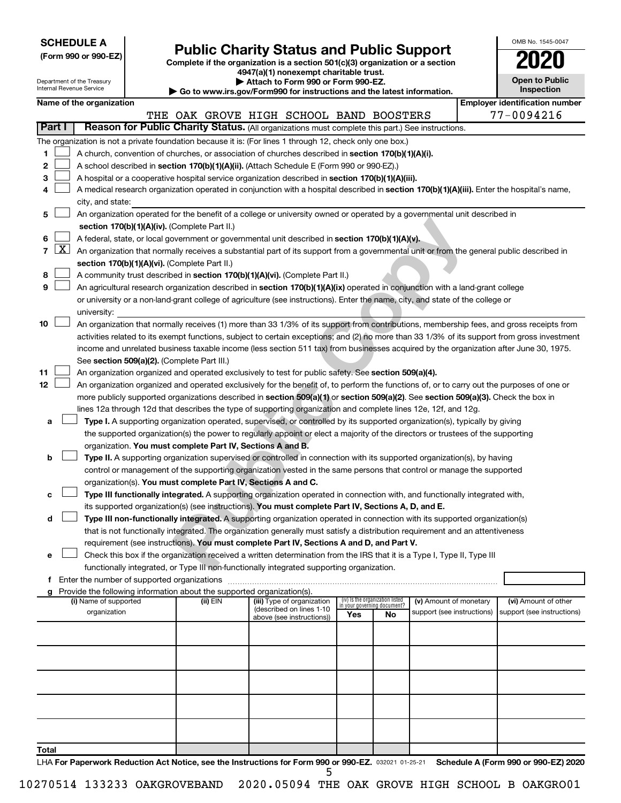| <b>SCHEDULE A</b> |  |
|-------------------|--|
|-------------------|--|

Department of the Treasury Internal Revenue Service

| (Form 990 or 990-EZ) |  |  |
|----------------------|--|--|
|                      |  |  |

Form 990 or 990-EZ) **Public Charity Status and Public Support**<br>
Complete if the organization is a section 501(c)(3) organization or a section<br> **2020** 

**4947(a)(1) nonexempt charitable trust. | Attach to Form 990 or Form 990-EZ.** 

**| Go to www.irs.gov/Form990 for instructions and the latest information.**

| OMB No 1545-0047                    |
|-------------------------------------|
| 2020                                |
| <b>Open to Public</b><br>Inspection |

|                |              | Name of the organization                                                                                                                     |          |                                                       |                             |                                 |                            |  | <b>Employer identification number</b> |  |  |  |
|----------------|--------------|----------------------------------------------------------------------------------------------------------------------------------------------|----------|-------------------------------------------------------|-----------------------------|---------------------------------|----------------------------|--|---------------------------------------|--|--|--|
|                |              |                                                                                                                                              |          | THE OAK GROVE HIGH SCHOOL BAND BOOSTERS               |                             |                                 |                            |  | 77-0094216                            |  |  |  |
| Part I         |              | Reason for Public Charity Status. (All organizations must complete this part.) See instructions.                                             |          |                                                       |                             |                                 |                            |  |                                       |  |  |  |
|                |              | The organization is not a private foundation because it is: (For lines 1 through 12, check only one box.)                                    |          |                                                       |                             |                                 |                            |  |                                       |  |  |  |
| 1              |              | A church, convention of churches, or association of churches described in section 170(b)(1)(A)(i).                                           |          |                                                       |                             |                                 |                            |  |                                       |  |  |  |
| 2              |              | A school described in section 170(b)(1)(A)(ii). (Attach Schedule E (Form 990 or 990-EZ).)                                                    |          |                                                       |                             |                                 |                            |  |                                       |  |  |  |
| з              |              | A hospital or a cooperative hospital service organization described in section 170(b)(1)(A)(iii).                                            |          |                                                       |                             |                                 |                            |  |                                       |  |  |  |
| 4              |              | A medical research organization operated in conjunction with a hospital described in section 170(b)(1)(A)(iii). Enter the hospital's name,   |          |                                                       |                             |                                 |                            |  |                                       |  |  |  |
|                |              | city, and state:                                                                                                                             |          |                                                       |                             |                                 |                            |  |                                       |  |  |  |
| 5              |              | An organization operated for the benefit of a college or university owned or operated by a governmental unit described in                    |          |                                                       |                             |                                 |                            |  |                                       |  |  |  |
|                |              | section 170(b)(1)(A)(iv). (Complete Part II.)                                                                                                |          |                                                       |                             |                                 |                            |  |                                       |  |  |  |
| 6              |              | A federal, state, or local government or governmental unit described in section 170(b)(1)(A)(v).                                             |          |                                                       |                             |                                 |                            |  |                                       |  |  |  |
| $\overline{7}$ | $\mathbf{X}$ | An organization that normally receives a substantial part of its support from a governmental unit or from the general public described in    |          |                                                       |                             |                                 |                            |  |                                       |  |  |  |
|                |              | section 170(b)(1)(A)(vi). (Complete Part II.)                                                                                                |          |                                                       |                             |                                 |                            |  |                                       |  |  |  |
| 8              |              | A community trust described in section 170(b)(1)(A)(vi). (Complete Part II.)                                                                 |          |                                                       |                             |                                 |                            |  |                                       |  |  |  |
| 9              |              | An agricultural research organization described in section 170(b)(1)(A)(ix) operated in conjunction with a land-grant college                |          |                                                       |                             |                                 |                            |  |                                       |  |  |  |
|                |              | or university or a non-land-grant college of agriculture (see instructions). Enter the name, city, and state of the college or               |          |                                                       |                             |                                 |                            |  |                                       |  |  |  |
|                |              | university:                                                                                                                                  |          |                                                       |                             |                                 |                            |  |                                       |  |  |  |
| 10             |              | An organization that normally receives (1) more than 33 1/3% of its support from contributions, membership fees, and gross receipts from     |          |                                                       |                             |                                 |                            |  |                                       |  |  |  |
|                |              | activities related to its exempt functions, subject to certain exceptions; and (2) no more than 33 1/3% of its support from gross investment |          |                                                       |                             |                                 |                            |  |                                       |  |  |  |
|                |              | income and unrelated business taxable income (less section 511 tax) from businesses acquired by the organization after June 30, 1975.        |          |                                                       |                             |                                 |                            |  |                                       |  |  |  |
|                |              | See section 509(a)(2). (Complete Part III.)                                                                                                  |          |                                                       |                             |                                 |                            |  |                                       |  |  |  |
| 11             |              | An organization organized and operated exclusively to test for public safety. See section 509(a)(4).                                         |          |                                                       |                             |                                 |                            |  |                                       |  |  |  |
| 12             |              | An organization organized and operated exclusively for the benefit of, to perform the functions of, or to carry out the purposes of one or   |          |                                                       |                             |                                 |                            |  |                                       |  |  |  |
|                |              | more publicly supported organizations described in section 509(a)(1) or section 509(a)(2). See section 509(a)(3). Check the box in           |          |                                                       |                             |                                 |                            |  |                                       |  |  |  |
|                |              | lines 12a through 12d that describes the type of supporting organization and complete lines 12e, 12f, and 12g.                               |          |                                                       |                             |                                 |                            |  |                                       |  |  |  |
| а              |              | Type I. A supporting organization operated, supervised, or controlled by its supported organization(s), typically by giving                  |          |                                                       |                             |                                 |                            |  |                                       |  |  |  |
|                |              | the supported organization(s) the power to regularly appoint or elect a majority of the directors or trustees of the supporting              |          |                                                       |                             |                                 |                            |  |                                       |  |  |  |
|                |              | organization. You must complete Part IV, Sections A and B.                                                                                   |          |                                                       |                             |                                 |                            |  |                                       |  |  |  |
| b              |              | Type II. A supporting organization supervised or controlled in connection with its supported organization(s), by having                      |          |                                                       |                             |                                 |                            |  |                                       |  |  |  |
|                |              | control or management of the supporting organization vested in the same persons that control or manage the supported                         |          |                                                       |                             |                                 |                            |  |                                       |  |  |  |
|                |              | organization(s). You must complete Part IV, Sections A and C.                                                                                |          |                                                       |                             |                                 |                            |  |                                       |  |  |  |
| с              |              | Type III functionally integrated. A supporting organization operated in connection with, and functionally integrated with,                   |          |                                                       |                             |                                 |                            |  |                                       |  |  |  |
|                |              | its supported organization(s) (see instructions). You must complete Part IV, Sections A, D, and E.                                           |          |                                                       |                             |                                 |                            |  |                                       |  |  |  |
| d              |              | Type III non-functionally integrated. A supporting organization operated in connection with its supported organization(s)                    |          |                                                       |                             |                                 |                            |  |                                       |  |  |  |
|                |              | that is not functionally integrated. The organization generally must satisfy a distribution requirement and an attentiveness                 |          |                                                       |                             |                                 |                            |  |                                       |  |  |  |
|                |              | requirement (see instructions). You must complete Part IV, Sections A and D, and Part V.                                                     |          |                                                       |                             |                                 |                            |  |                                       |  |  |  |
| е              |              | Check this box if the organization received a written determination from the IRS that it is a Type I, Type II, Type III                      |          |                                                       |                             |                                 |                            |  |                                       |  |  |  |
|                |              | functionally integrated, or Type III non-functionally integrated supporting organization.                                                    |          |                                                       |                             |                                 |                            |  |                                       |  |  |  |
|                |              | f Enter the number of supported organizations                                                                                                |          |                                                       |                             |                                 |                            |  |                                       |  |  |  |
| g              |              | Provide the following information about the supported organization(s).                                                                       |          |                                                       |                             |                                 |                            |  |                                       |  |  |  |
|                |              | (i) Name of supported                                                                                                                        | (ii) EIN | (iii) Type of organization                            | in your governing document? | (iv) Is the organization listed | (v) Amount of monetary     |  | (vi) Amount of other                  |  |  |  |
|                |              | organization                                                                                                                                 |          | (described on lines 1-10<br>above (see instructions)) | Yes                         | No                              | support (see instructions) |  | support (see instructions)            |  |  |  |
|                |              |                                                                                                                                              |          |                                                       |                             |                                 |                            |  |                                       |  |  |  |
|                |              |                                                                                                                                              |          |                                                       |                             |                                 |                            |  |                                       |  |  |  |
|                |              |                                                                                                                                              |          |                                                       |                             |                                 |                            |  |                                       |  |  |  |
|                |              |                                                                                                                                              |          |                                                       |                             |                                 |                            |  |                                       |  |  |  |
|                |              |                                                                                                                                              |          |                                                       |                             |                                 |                            |  |                                       |  |  |  |
|                |              |                                                                                                                                              |          |                                                       |                             |                                 |                            |  |                                       |  |  |  |
|                |              |                                                                                                                                              |          |                                                       |                             |                                 |                            |  |                                       |  |  |  |
|                |              |                                                                                                                                              |          |                                                       |                             |                                 |                            |  |                                       |  |  |  |
|                |              |                                                                                                                                              |          |                                                       |                             |                                 |                            |  |                                       |  |  |  |
|                |              |                                                                                                                                              |          |                                                       |                             |                                 |                            |  |                                       |  |  |  |
| Total          |              |                                                                                                                                              |          |                                                       |                             |                                 |                            |  |                                       |  |  |  |
|                |              | LHA For Paperwork Reduction Act Notice, see the Instructions for Form 990 or 990-EZ. 032021 01-25-21                                         |          |                                                       |                             |                                 |                            |  | Schedule A (Form 990 or 990-EZ) 2020  |  |  |  |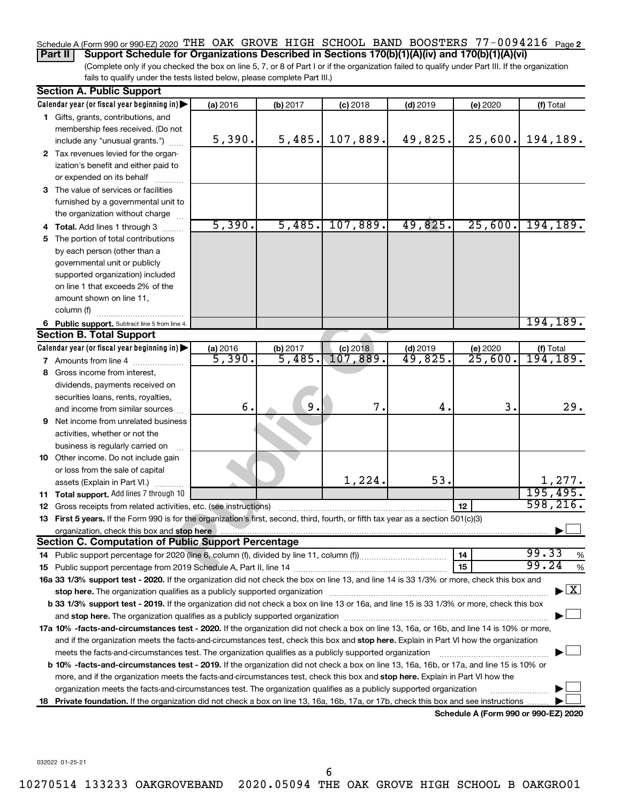# Schedule A (Form 990 or 990-EZ) 2020 THE OAK GROVE HIGH SCHOOL BAND BOOSTERS 77-0094216 <sub>Page 2</sub>

(Complete only if you checked the box on line 5, 7, or 8 of Part I or if the organization failed to qualify under Part III. If the organization fails to qualify under the tests listed below, please complete Part III.) **Part II Support Schedule for Organizations Described in Sections 170(b)(1)(A)(iv) and 170(b)(1)(A)(vi)**

|    | <b>Section A. Public Support</b>                                                                                                           |           |          |            |            |                                      |                         |
|----|--------------------------------------------------------------------------------------------------------------------------------------------|-----------|----------|------------|------------|--------------------------------------|-------------------------|
|    | Calendar year (or fiscal year beginning in)                                                                                                | (a) 2016  | (b) 2017 | $(c)$ 2018 | $(d)$ 2019 | (e) 2020                             | (f) Total               |
|    | 1 Gifts, grants, contributions, and                                                                                                        |           |          |            |            |                                      |                         |
|    | membership fees received. (Do not                                                                                                          |           |          |            |            |                                      |                         |
|    | include any "unusual grants.")                                                                                                             | 5,390.    | 5,485.   | 107,889.   | 49,825.    | 25,600.                              | 194,189.                |
|    | 2 Tax revenues levied for the organ-                                                                                                       |           |          |            |            |                                      |                         |
|    | ization's benefit and either paid to                                                                                                       |           |          |            |            |                                      |                         |
|    | or expended on its behalf                                                                                                                  |           |          |            |            |                                      |                         |
|    | 3 The value of services or facilities                                                                                                      |           |          |            |            |                                      |                         |
|    | furnished by a governmental unit to                                                                                                        |           |          |            |            |                                      |                         |
|    | the organization without charge                                                                                                            |           |          |            |            |                                      |                         |
| 4  | Total. Add lines 1 through 3                                                                                                               | 5,390.    | 5,485.   | 107,889.   | 49,825.    | 25,600.                              | 194,189.                |
| 5. | The portion of total contributions                                                                                                         |           |          |            |            |                                      |                         |
|    | by each person (other than a                                                                                                               |           |          |            |            |                                      |                         |
|    | governmental unit or publicly                                                                                                              |           |          |            |            |                                      |                         |
|    | supported organization) included                                                                                                           |           |          |            |            |                                      |                         |
|    | on line 1 that exceeds 2% of the                                                                                                           |           |          |            |            |                                      |                         |
|    | amount shown on line 11,                                                                                                                   |           |          |            |            |                                      |                         |
|    | column (f)                                                                                                                                 |           |          |            |            |                                      |                         |
|    | 6 Public support. Subtract line 5 from line 4.                                                                                             |           |          |            |            |                                      | 194,189.                |
|    | <b>Section B. Total Support</b>                                                                                                            |           |          |            |            |                                      |                         |
|    | Calendar year (or fiscal year beginning in)                                                                                                | (a) 2016  | (b) 2017 | (c) 2018   | $(d)$ 2019 | (e) 2020                             | (f) Total               |
|    | 7 Amounts from line 4                                                                                                                      | 5,390.    | 5,485    | 107,889.   | 49,825.    | $\overline{25,600}$                  | 194,189.                |
| 8  | Gross income from interest,                                                                                                                |           |          |            |            |                                      |                         |
|    | dividends, payments received on                                                                                                            |           |          |            |            |                                      |                         |
|    | securities loans, rents, royalties,                                                                                                        |           |          |            |            |                                      |                         |
|    | and income from similar sources                                                                                                            | $6 \cdot$ | 9.       | 7.         | 4.         | 3.                                   | 29.                     |
| 9  | Net income from unrelated business                                                                                                         |           |          |            |            |                                      |                         |
|    | activities, whether or not the                                                                                                             |           |          |            |            |                                      |                         |
|    | business is regularly carried on                                                                                                           |           |          |            |            |                                      |                         |
|    | 10 Other income. Do not include gain                                                                                                       |           |          |            |            |                                      |                         |
|    | or loss from the sale of capital                                                                                                           |           |          |            |            |                                      |                         |
|    | assets (Explain in Part VI.)                                                                                                               |           |          | 1,224.     | 53.        |                                      | $\frac{1,277}{195,495}$ |
|    | 11 Total support. Add lines 7 through 10                                                                                                   |           |          |            |            |                                      |                         |
|    | 12 Gross receipts from related activities, etc. (see instructions)                                                                         |           |          |            |            | 12                                   | 598, 216.               |
|    | 13 First 5 years. If the Form 990 is for the organization's first, second, third, fourth, or fifth tax year as a section 501(c)(3)         |           |          |            |            |                                      |                         |
|    | organization, check this box and stop here                                                                                                 |           |          |            |            |                                      |                         |
|    | <b>Section C. Computation of Public Support Percentage</b>                                                                                 |           |          |            |            |                                      |                         |
|    |                                                                                                                                            |           |          |            |            | 14                                   | 99.33<br>%              |
|    |                                                                                                                                            |           |          |            |            | 15                                   | 99.24<br>%              |
|    | 16a 33 1/3% support test - 2020. If the organization did not check the box on line 13, and line 14 is 33 1/3% or more, check this box and  |           |          |            |            |                                      |                         |
|    | stop here. The organization qualifies as a publicly supported organization                                                                 |           |          |            |            |                                      | $\mathbf{X}$            |
|    | b 33 1/3% support test - 2019. If the organization did not check a box on line 13 or 16a, and line 15 is 33 1/3% or more, check this box   |           |          |            |            |                                      |                         |
|    |                                                                                                                                            |           |          |            |            |                                      |                         |
|    | 17a 10% -facts-and-circumstances test - 2020. If the organization did not check a box on line 13, 16a, or 16b, and line 14 is 10% or more, |           |          |            |            |                                      |                         |
|    | and if the organization meets the facts-and-circumstances test, check this box and stop here. Explain in Part VI how the organization      |           |          |            |            |                                      |                         |
|    | meets the facts-and-circumstances test. The organization qualifies as a publicly supported organization                                    |           |          |            |            |                                      |                         |
|    | b 10% -facts-and-circumstances test - 2019. If the organization did not check a box on line 13, 16a, 16b, or 17a, and line 15 is 10% or    |           |          |            |            |                                      |                         |
|    | more, and if the organization meets the facts-and-circumstances test, check this box and stop here. Explain in Part VI how the             |           |          |            |            |                                      |                         |
|    | organization meets the facts-and-circumstances test. The organization qualifies as a publicly supported organization                       |           |          |            |            |                                      |                         |
| 18 | Private foundation. If the organization did not check a box on line 13, 16a, 16b, 17a, or 17b, check this box and see instructions         |           |          |            |            | Schodule A (Form 000 or 000 EZ) 2020 |                         |

**Schedule A (Form 990 or 990-EZ) 2020**

032022 01-25-21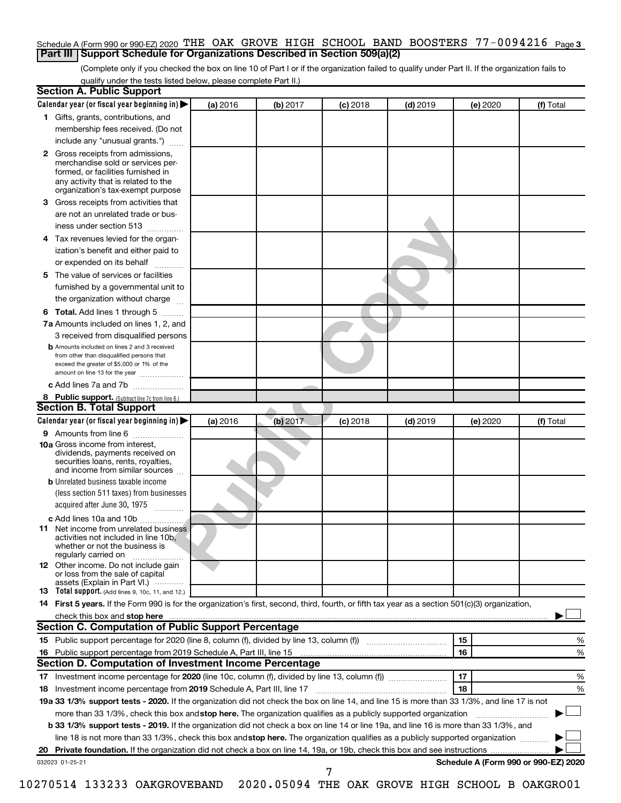#### Schedule A (Form 990 or 990-EZ) 2020 THE OAK GROVE HIGH SCHOOL BAND BOOSTERS 77-0094216 <sub>Page 3</sub> **Part III Support Schedule for Organizations Described in Section 509(a)(2)**

(Complete only if you checked the box on line 10 of Part I or if the organization failed to qualify under Part II. If the organization fails to qualify under the tests listed below, please complete Part II.)

|     | <b>Section A. Public Support</b>                                                                                                                    |          |          |            |            |          |                                      |
|-----|-----------------------------------------------------------------------------------------------------------------------------------------------------|----------|----------|------------|------------|----------|--------------------------------------|
|     | Calendar year (or fiscal year beginning in)                                                                                                         | (a) 2016 | (b) 2017 | $(c)$ 2018 | $(d)$ 2019 | (e) 2020 | (f) Total                            |
|     | 1 Gifts, grants, contributions, and                                                                                                                 |          |          |            |            |          |                                      |
|     | membership fees received. (Do not                                                                                                                   |          |          |            |            |          |                                      |
|     | include any "unusual grants.")                                                                                                                      |          |          |            |            |          |                                      |
|     | 2 Gross receipts from admissions,<br>merchandise sold or services per-                                                                              |          |          |            |            |          |                                      |
|     | formed, or facilities furnished in<br>any activity that is related to the                                                                           |          |          |            |            |          |                                      |
|     | organization's tax-exempt purpose                                                                                                                   |          |          |            |            |          |                                      |
|     | <b>3</b> Gross receipts from activities that                                                                                                        |          |          |            |            |          |                                      |
|     | are not an unrelated trade or bus-                                                                                                                  |          |          |            |            |          |                                      |
|     | iness under section 513                                                                                                                             |          |          |            |            |          |                                      |
|     | 4 Tax revenues levied for the organ-                                                                                                                |          |          |            |            |          |                                      |
|     | ization's benefit and either paid to                                                                                                                |          |          |            |            |          |                                      |
|     | or expended on its behalf                                                                                                                           |          |          |            |            |          |                                      |
|     | 5 The value of services or facilities                                                                                                               |          |          |            |            |          |                                      |
|     | furnished by a governmental unit to                                                                                                                 |          |          |            |            |          |                                      |
|     | the organization without charge                                                                                                                     |          |          |            |            |          |                                      |
|     | <b>6 Total.</b> Add lines 1 through 5                                                                                                               |          |          |            |            |          |                                      |
|     | 7a Amounts included on lines 1, 2, and                                                                                                              |          |          |            |            |          |                                      |
|     | 3 received from disqualified persons                                                                                                                |          |          |            |            |          |                                      |
|     | <b>b</b> Amounts included on lines 2 and 3 received<br>from other than disqualified persons that<br>exceed the greater of \$5,000 or 1% of the      |          |          |            |            |          |                                      |
|     | amount on line 13 for the year                                                                                                                      |          |          |            |            |          |                                      |
|     | c Add lines 7a and 7b                                                                                                                               |          |          |            |            |          |                                      |
|     | 8 Public support. (Subtract line 7c from line 6.)                                                                                                   |          |          |            |            |          |                                      |
|     | <b>Section B. Total Support</b>                                                                                                                     |          |          |            |            |          |                                      |
|     | Calendar year (or fiscal year beginning in)                                                                                                         | (a) 2016 | (b) 2017 | $(c)$ 2018 | $(d)$ 2019 | (e) 2020 | (f) Total                            |
|     | <b>9</b> Amounts from line 6                                                                                                                        |          |          |            |            |          |                                      |
|     | <b>10a</b> Gross income from interest,<br>dividends, payments received on<br>securities loans, rents, royalties,<br>and income from similar sources |          |          |            |            |          |                                      |
|     | <b>b</b> Unrelated business taxable income                                                                                                          |          |          |            |            |          |                                      |
|     | (less section 511 taxes) from businesses                                                                                                            |          |          |            |            |          |                                      |
|     | acquired after June 30, 1975                                                                                                                        |          |          |            |            |          |                                      |
|     | c Add lines 10a and 10b                                                                                                                             |          |          |            |            |          |                                      |
| 11. | Net income from unrelated business<br>activities not included in line 10b.<br>whether or not the business is<br>regularly carried on                |          |          |            |            |          |                                      |
|     | <b>12</b> Other income. Do not include gain<br>or loss from the sale of capital                                                                     |          |          |            |            |          |                                      |
|     | assets (Explain in Part VI.)                                                                                                                        |          |          |            |            |          |                                      |
|     | <b>13</b> Total support. (Add lines 9, 10c, 11, and 12.)                                                                                            |          |          |            |            |          |                                      |
|     | 14 First 5 years. If the Form 990 is for the organization's first, second, third, fourth, or fifth tax year as a section 501(c)(3) organization,    |          |          |            |            |          |                                      |
|     | check this box and stop here                                                                                                                        |          |          |            |            |          |                                      |
|     | <b>Section C. Computation of Public Support Percentage</b>                                                                                          |          |          |            |            |          |                                      |
|     | 15 Public support percentage for 2020 (line 8, column (f), divided by line 13, column (f) <i></i>                                                   |          |          |            |            | 15       | ℅                                    |
|     | 16 Public support percentage from 2019 Schedule A, Part III, line 15                                                                                |          |          |            |            | 16       | %                                    |
|     | Section D. Computation of Investment Income Percentage                                                                                              |          |          |            |            |          |                                      |
|     |                                                                                                                                                     |          |          |            |            | 17       | %                                    |
|     | 18 Investment income percentage from 2019 Schedule A, Part III, line 17                                                                             |          |          |            |            | 18       | %                                    |
|     | 19a 33 1/3% support tests - 2020. If the organization did not check the box on line 14, and line 15 is more than 33 1/3%, and line 17 is not        |          |          |            |            |          |                                      |
|     | more than 33 1/3%, check this box and stop here. The organization qualifies as a publicly supported organization                                    |          |          |            |            |          |                                      |
|     | b 33 1/3% support tests - 2019. If the organization did not check a box on line 14 or line 19a, and line 16 is more than 33 1/3%, and               |          |          |            |            |          |                                      |
|     | line 18 is not more than 33 1/3%, check this box and stop here. The organization qualifies as a publicly supported organization                     |          |          |            |            |          |                                      |
|     |                                                                                                                                                     |          |          |            |            |          |                                      |
|     | 032023 01-25-21                                                                                                                                     |          |          |            |            |          | Schedule A (Form 990 or 990-EZ) 2020 |
|     |                                                                                                                                                     |          |          | 7          |            |          |                                      |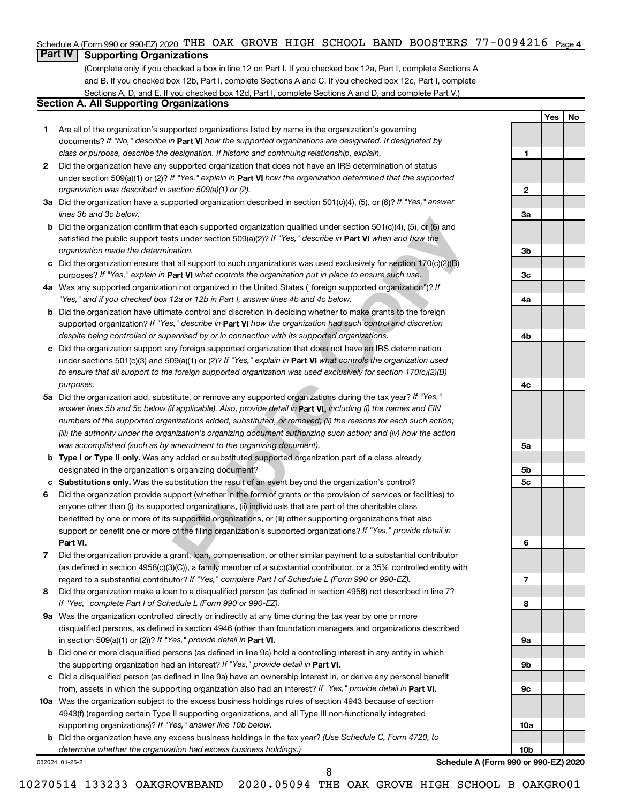#### Schedule A (Form 990 or 990-EZ) 2020 THE OAK GROVE HIGH SCHOOL BAND BOOSTERS 77-0094216 <sub>Page 4</sub>

# **Part IV Supporting Organizations**

(Complete only if you checked a box in line 12 on Part I. If you checked box 12a, Part I, complete Sections A and B. If you checked box 12b, Part I, complete Sections A and C. If you checked box 12c, Part I, complete Sections A, D, and E. If you checked box 12d, Part I, complete Sections A and D, and complete Part V.)

### **Section A. All Supporting Organizations**

- documents? If "No," describe in Part VI how the supported organizations are designated. If designated by *class or purpose, describe the designation. If historic and continuing relationship, explain.* 1 Are all of the organization's supported organizations listed by name in the organization's governing
- under section 509(a)(1) or (2)? If "Yes," explain in Part **VI** how the organization determined that the supported *organization was described in section 509(a)(1) or (2).* 2 Did the organization have any supported organization that does not have an IRS determination of status
- Did the organization have a supported organization described in section 501(c)(4), (5), or (6)? If "Yes," answer *lines 3b and 3c below.*
- satisfied the public support tests under section 509(a)(2)? If "Yes," describe in Part VI when and how the *organization made the determination.* **b** Did the organization confirm that each supported organization qualified under section  $501(c)(4)$ ,  $(5)$ , or  $(6)$  and
- purposes? If "Yes," explain in Part VI what controls the organization put in place to ensure such use.  $c$  Did the organization ensure that all support to such organizations was used exclusively for section 170(c)(2)(B)
- Was any supported organization not organized in the United States ("foreign supported organization")? If *"Yes," and if you checked box 12a or 12b in Part I, answer lines 4b and 4c below.*
- supported organization? If "Yes," describe in Part VI how the organization had such control and discretion *despite being controlled or supervised by or in connection with its supported organizations.* b Did the organization have ultimate control and discretion in deciding whether to make grants to the foreign
- under sections 501(c)(3) and 509(a)(1) or (2)? If "Yes," explain in Part VI what controls the organization used *to ensure that all support to the foreign supported organization was used exclusively for section 170(c)(2)(B) purposes.* Did the organization support any foreign supported organization that does not have an IRS determination
- answer lines 5b and 5c below (if applicable). Also, provide detail in **Part VI,** including (i) the names and EIN Did the organization add, substitute, or remove any supported organizations during the tax year? If "Yes," *numbers of the supported organizations added, substituted, or removed; (ii) the reasons for each such action; (iii) the authority under the organization's organizing document authorizing such action; and (iv) how the action was accomplished (such as by amendment to the organizing document).*
- **Type I or Type II only.** Was any added or substituted supported organization part of a class already designated in the organization's organizing document?
- Substitutions only. Was the substitution the result of an event beyond the organization's control?
- at each supported organization qualified under section 501(c)(4), (5), or (6) and<br>ts under section 509(a)(2)? *H* "Yes," *describe in* **Part VI** when and how the<br>atton.<br>The standary of the standary of the organizations was 1 2 3 4 5 6 7 8 <del>9</del> **abcabcabcabcab Part VI.** support or benefit one or more of the filing organization's supported organizations? If "Yes," provide detail in Did the organization provide support (whether in the form of grants or the provision of services or facilities) to anyone other than (i) its supported organizations, (ii) individuals that are part of the charitable class benefited by one or more of its supported organizations, or (iii) other supporting organizations that also
- regard to a substantial contributor? If "Yes," complete Part I of Schedule L (Form 990 or 990-EZ). Did the organization provide a grant, loan, compensation, or other similar payment to a substantial contributor (as defined in section 4958(c)(3)(C)), a family member of a substantial contributor, or a 35% controlled entity with
- *If "Yes," complete Part I of Schedule L (Form 990 or 990-EZ).* 8 Did the organization make a loan to a disqualified person (as defined in section 4958) not described in line 7?
- in section 509(a)(1) or (2))? If "Yes," provide detail in **Part VI.** 9a Was the organization controlled directly or indirectly at any time during the tax year by one or more disqualified persons, as defined in section 4946 (other than foundation managers and organizations described
- the supporting organization had an interest? If "Yes," provide detail in Part VI. **b** Did one or more disqualified persons (as defined in line 9a) hold a controlling interest in any entity in which
- from, assets in which the supporting organization also had an interest? If "Yes," provide detail in Part VI. Did a disqualified person (as defined in line 9a) have an ownership interest in, or derive any personal benefit
- **10** Was the organization subject to the excess business holdings rules of section 4943 because of section supporting organizations)? If "Yes," answer line 10b below. 4943(f) (regarding certain Type II supporting organizations, and all Type III non-functionally integrated
	- *(Use Schedule C, Form 4720, to* Did the organization have any excess business holdings in the tax year? *determine whether the organization had excess business holdings.)*

8

032024 01-25-21

**Schedule A (Form 990 or 990-EZ) 2020**

**Yes No**

**12**

 $\overline{2}$ 

 $\blacksquare$ 

**3a**

**3b**

**3c**

**4a**

**4b**

**4c**

**5a**

**5b**

5c

**5c**<br>**6**<br>**7**<br>**8** 

 $\overline{7}$ 

8

6

**9a**

**9b**

**9c**

**10a**

**10b**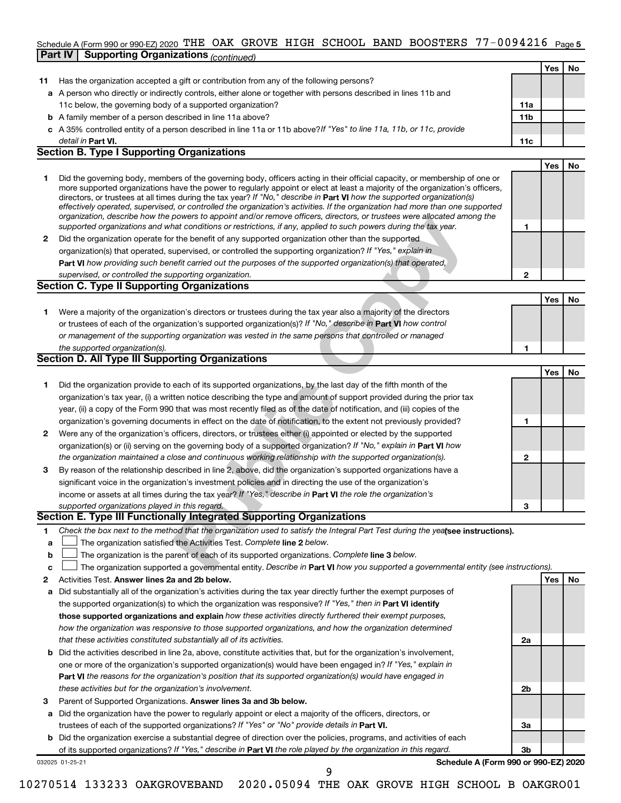#### Schedule A (Form 990 or 990-EZ) 2020 THE OAK GROVE HIGH SCHOOL BAND BOOSTERS 77-0094216 <sub>Page 5</sub> **Part IV Supporting Organizations** *(continued)*

|              |                                                                                                                                                                                                                                                             |              | Yes | No  |
|--------------|-------------------------------------------------------------------------------------------------------------------------------------------------------------------------------------------------------------------------------------------------------------|--------------|-----|-----|
| 11           | Has the organization accepted a gift or contribution from any of the following persons?                                                                                                                                                                     |              |     |     |
|              | a A person who directly or indirectly controls, either alone or together with persons described in lines 11b and                                                                                                                                            |              |     |     |
|              | 11c below, the governing body of a supported organization?                                                                                                                                                                                                  | 11a          |     |     |
|              | <b>b</b> A family member of a person described in line 11a above?                                                                                                                                                                                           | 11b          |     |     |
|              | c A 35% controlled entity of a person described in line 11a or 11b above? If "Yes" to line 11a, 11b, or 11c, provide                                                                                                                                        |              |     |     |
|              | detail in <b>Part VI.</b>                                                                                                                                                                                                                                   | 11c          |     |     |
|              | <b>Section B. Type I Supporting Organizations</b>                                                                                                                                                                                                           |              |     |     |
|              |                                                                                                                                                                                                                                                             |              | Yes | No. |
| 1            | Did the governing body, members of the governing body, officers acting in their official capacity, or membership of one or<br>more supported organizations have the power to regularly appoint or elect at least a majority of the organization's officers, |              |     |     |
|              | directors, or trustees at all times during the tax year? If "No," describe in Part VI how the supported organization(s)<br>effectively operated, supervised, or controlled the organization's activities. If the organization had more than one supported   |              |     |     |
|              | organization, describe how the powers to appoint and/or remove officers, directors, or trustees were allocated among the                                                                                                                                    |              |     |     |
|              | supported organizations and what conditions or restrictions, if any, applied to such powers during the tax year.                                                                                                                                            | 1            |     |     |
| $\mathbf{2}$ | Did the organization operate for the benefit of any supported organization other than the supported                                                                                                                                                         |              |     |     |
|              | organization(s) that operated, supervised, or controlled the supporting organization? If "Yes," explain in                                                                                                                                                  |              |     |     |
|              | <b>Part VI</b> how providing such benefit carried out the purposes of the supported organization(s) that operated,                                                                                                                                          |              |     |     |
|              | supervised, or controlled the supporting organization.                                                                                                                                                                                                      | $\mathbf{2}$ |     |     |
|              | <b>Section C. Type II Supporting Organizations</b>                                                                                                                                                                                                          |              |     |     |
|              |                                                                                                                                                                                                                                                             |              | Yes | No  |
| 1.           | Were a majority of the organization's directors or trustees during the tax year also a majority of the directors                                                                                                                                            |              |     |     |
|              | or trustees of each of the organization's supported organization(s)? If "No," describe in Part VI how control                                                                                                                                               |              |     |     |
|              | or management of the supporting organization was vested in the same persons that controlled or managed                                                                                                                                                      |              |     |     |
|              | the supported organization(s).                                                                                                                                                                                                                              | 1            |     |     |
|              | <b>Section D. All Type III Supporting Organizations</b>                                                                                                                                                                                                     |              |     |     |
|              |                                                                                                                                                                                                                                                             |              | Yes | No  |
| 1            | Did the organization provide to each of its supported organizations, by the last day of the fifth month of the                                                                                                                                              |              |     |     |
|              | organization's tax year, (i) a written notice describing the type and amount of support provided during the prior tax                                                                                                                                       |              |     |     |
|              | year, (ii) a copy of the Form 990 that was most recently filed as of the date of notification, and (iii) copies of the                                                                                                                                      |              |     |     |
|              | organization's governing documents in effect on the date of notification, to the extent not previously provided?                                                                                                                                            | 1            |     |     |
| $\mathbf{2}$ | Were any of the organization's officers, directors, or trustees either (i) appointed or elected by the supported                                                                                                                                            |              |     |     |
|              | organization(s) or (ii) serving on the governing body of a supported organization? If "No," explain in Part VI how                                                                                                                                          |              |     |     |
|              | the organization maintained a close and continuous working relationship with the supported organization(s).                                                                                                                                                 | $\mathbf{2}$ |     |     |
| 3            | By reason of the relationship described in line 2, above, did the organization's supported organizations have a                                                                                                                                             |              |     |     |
|              | significant voice in the organization's investment policies and in directing the use of the organization's                                                                                                                                                  |              |     |     |
|              | income or assets at all times during the tax year? If "Yes," describe in Part VI the role the organization's                                                                                                                                                |              |     |     |
|              | supported organizations played in this regard.                                                                                                                                                                                                              | 3            |     |     |
|              | Section E. Type III Functionally Integrated Supporting Organizations                                                                                                                                                                                        |              |     |     |
| 1            | Check the box next to the method that the organization used to satisfy the Integral Part Test during the yeafsee instructions).                                                                                                                             |              |     |     |
| a            | The organization satisfied the Activities Test. Complete line 2 below.                                                                                                                                                                                      |              |     |     |
| b            | The organization is the parent of each of its supported organizations. Complete line 3 below.                                                                                                                                                               |              |     |     |
| C            | The organization supported a governmental entity. Describe in Part VI how you supported a governmental entity (see instructions).                                                                                                                           |              |     |     |

|              | Did the organization provide to each of its supported organizations, by the last day of the fifth month of the            |   |  |
|--------------|---------------------------------------------------------------------------------------------------------------------------|---|--|
|              | organization's tax year, (i) a written notice describing the type and amount of support provided during the prior tax     |   |  |
|              | year, (ii) a copy of the Form 990 that was most recently filed as of the date of notification, and (iii) copies of the    |   |  |
|              | organization's governing documents in effect on the date of notification, to the extent not previously provided?          |   |  |
| $\mathbf{2}$ | Were any of the organization's officers, directors, or trustees either (i) appointed or elected by the supported          |   |  |
|              | organization(s) or (ii) serving on the governing body of a supported organization? If "No," explain in <b>Part VI</b> how |   |  |
|              | the organization maintained a close and continuous working relationship with the supported organization(s).               | 2 |  |
| 3            | By reason of the relationship described in line 2, above, did the organization's supported organizations have a           |   |  |
|              | significant voice in the organization's investment policies and in directing the use of the organization's                |   |  |
|              | income or assets at all times during the tax year? If "Yes," describe in Part VI the role the organization's              |   |  |
|              | supported organizations played in this regard.                                                                            | з |  |

#### **Section E. Type III Functionally Integrated Supporting Organizations**

- 1 Check the box next to the method that the organization used to satisfy the Integral Part Test during the yealsee instructions).
- $\mathbf{a}$
- The organization satisfied the Activities Test. Complete line 2 below.<br>
The organization is the parent of each of its supported organizations<br>
The organization supported a governmental entity. Describe in Part \  $\mathbf b$ The organization is the parent of each of its supported organizations. Complete line 3 below.
- **abc**  $\mathbf{c}$ The organization supported a governmental entity. Describe in Part VI how you supported a governmental entity (see instructions).
- **Answer lines 2a and 2b below. Yes No** Activities Test.
- **123 abab** the supported organization(s) to which the organization was responsive? If "Yes," then in Part VI identify **those supported organizations and explain**  *how these activities directly furthered their exempt purposes, how the organization was responsive to those supported organizations, and how the organization determined that these activities constituted substantially all of its activities.* a Did substantially all of the organization's activities during the tax year directly further the exempt purposes of
- **Part VI**  *the reasons for the organization's position that its supported organization(s) would have engaged in* one or more of the organization's supported organization(s) would have been engaged in? If "Yes," explain in *these activities but for the organization's involvement.* b Did the activities described in line 2a, above, constitute activities that, but for the organization's involvement,
- Parent of Supported Organizations. Answer lines 3a and 3b below.
- trustees of each of the supported organizations? If "Yes" or "No" provide details in Part VI. a Did the organization have the power to regularly appoint or elect a majority of the officers, directors, or
- of its supported organizations? If "Yes," describe in Part VI the role played by the organization in this regard. **b** Did the organization exercise a substantial degree of direction over the policies, programs, and activities of each

032025 01-25-21

**Schedule A (Form 990 or 990-EZ) 2020**

**2a**

**2b**

**3a**

**3b**

10270514 133233 OAKGROVEBAND 2020.05094 THE OAK GROVE HIGH SCHOOL B OAKGRO01

9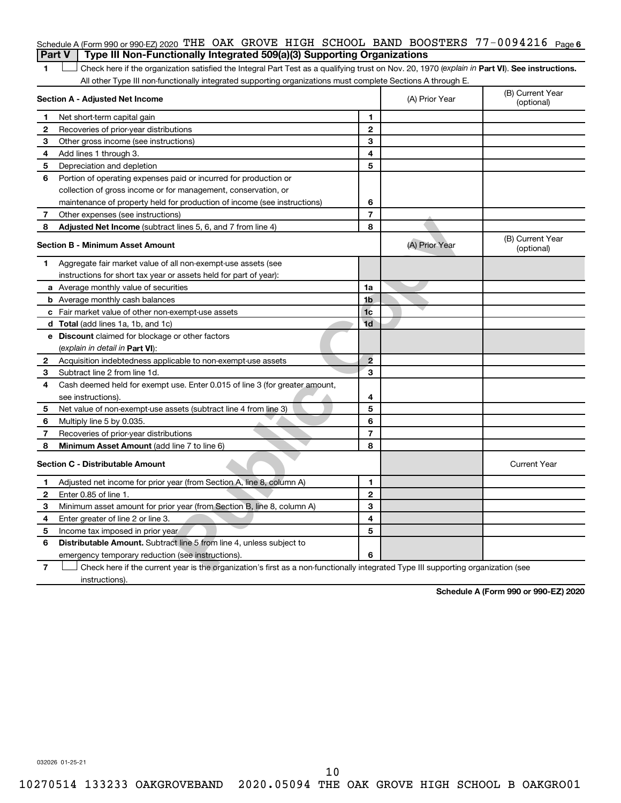#### Schedule A (Form 990 or 990-EZ) 2020 THE OAK GROVE HIGH SCHOOL BAND BOOSTERS 77-0094216 <sub>Page 6</sub> **Part V Type III Non-Functionally Integrated 509(a)(3) Supporting Organizations**

| 1              | Check here if the organization satisfied the Integral Part Test as a qualifying trust on Nov. 20, 1970 (explain in Part VI). See instructions.<br>All other Type III non-functionally integrated supporting organizations must complete Sections A through E. |                |                |                                |
|----------------|---------------------------------------------------------------------------------------------------------------------------------------------------------------------------------------------------------------------------------------------------------------|----------------|----------------|--------------------------------|
|                | Section A - Adjusted Net Income                                                                                                                                                                                                                               |                | (A) Prior Year | (B) Current Year<br>(optional) |
| 1              | Net short-term capital gain                                                                                                                                                                                                                                   | 1              |                |                                |
| 2              | Recoveries of prior-year distributions                                                                                                                                                                                                                        | $\mathbf{2}$   |                |                                |
| З              | Other gross income (see instructions)                                                                                                                                                                                                                         | 3              |                |                                |
| 4              | Add lines 1 through 3.                                                                                                                                                                                                                                        | 4              |                |                                |
| 5              | Depreciation and depletion                                                                                                                                                                                                                                    | 5              |                |                                |
| 6              | Portion of operating expenses paid or incurred for production or                                                                                                                                                                                              |                |                |                                |
|                | collection of gross income or for management, conservation, or                                                                                                                                                                                                |                |                |                                |
|                | maintenance of property held for production of income (see instructions)                                                                                                                                                                                      | 6              |                |                                |
| 7              | Other expenses (see instructions)                                                                                                                                                                                                                             | $\overline{7}$ |                |                                |
| 8              | <b>Adjusted Net Income</b> (subtract lines 5, 6, and 7 from line 4)                                                                                                                                                                                           | 8              |                |                                |
|                | <b>Section B - Minimum Asset Amount</b>                                                                                                                                                                                                                       |                | (A) Prior Year | (B) Current Year<br>(optional) |
| 1.             | Aggregate fair market value of all non-exempt-use assets (see                                                                                                                                                                                                 |                |                |                                |
|                | instructions for short tax year or assets held for part of year):                                                                                                                                                                                             |                |                |                                |
|                | <b>a</b> Average monthly value of securities                                                                                                                                                                                                                  | 1a             |                |                                |
|                | <b>b</b> Average monthly cash balances                                                                                                                                                                                                                        | 1 <sub>b</sub> |                |                                |
|                | c Fair market value of other non-exempt-use assets                                                                                                                                                                                                            | 1 <sub>c</sub> |                |                                |
|                | <b>d</b> Total (add lines 1a, 1b, and 1c)                                                                                                                                                                                                                     | 1d             |                |                                |
|                | e Discount claimed for blockage or other factors                                                                                                                                                                                                              |                |                |                                |
|                | (explain in detail in Part VI):                                                                                                                                                                                                                               |                |                |                                |
| 2              | Acquisition indebtedness applicable to non-exempt-use assets                                                                                                                                                                                                  | $\overline{2}$ |                |                                |
| 3              | Subtract line 2 from line 1d.                                                                                                                                                                                                                                 | 3              |                |                                |
| 4              | Cash deemed held for exempt use. Enter 0.015 of line 3 (for greater amount,                                                                                                                                                                                   |                |                |                                |
|                | see instructions).                                                                                                                                                                                                                                            | 4              |                |                                |
| 5              | Net value of non-exempt-use assets (subtract line 4 from line 3)                                                                                                                                                                                              | 5              |                |                                |
| 6              | Multiply line 5 by 0.035.                                                                                                                                                                                                                                     | 6              |                |                                |
| 7              | Recoveries of prior-year distributions                                                                                                                                                                                                                        | 7              |                |                                |
| 8              | Minimum Asset Amount (add line 7 to line 6)                                                                                                                                                                                                                   | 8              |                |                                |
|                | <b>Section C - Distributable Amount</b>                                                                                                                                                                                                                       |                |                | <b>Current Year</b>            |
| 1              | Adjusted net income for prior year (from Section A, line 8, column A)                                                                                                                                                                                         | 1              |                |                                |
| $\mathbf{2}$   | Enter 0.85 of line 1.                                                                                                                                                                                                                                         | $\mathbf{2}$   |                |                                |
| З              | Minimum asset amount for prior year (from Section B, line 8, column A)                                                                                                                                                                                        | 3              |                |                                |
| 4              | Enter greater of line 2 or line 3.                                                                                                                                                                                                                            | 4              |                |                                |
| 5              | Income tax imposed in prior year                                                                                                                                                                                                                              | 5              |                |                                |
| 6              | <b>Distributable Amount.</b> Subtract line 5 from line 4, unless subject to                                                                                                                                                                                   |                |                |                                |
|                | emergency temporary reduction (see instructions).                                                                                                                                                                                                             | 6              |                |                                |
| $\overline{7}$ | Check here if the current year is the organization's first as a non-functionally integrated Type III supporting organization (see                                                                                                                             |                |                |                                |

instructions).

**Schedule A (Form 990 or 990-EZ) 2020**

032026 01-25-21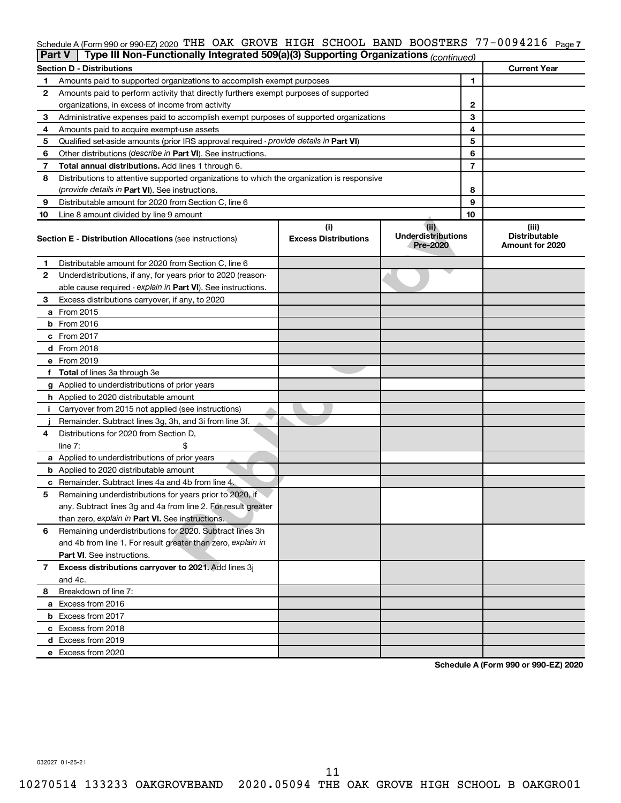## Schedule A (Form 990 or 990-EZ) 2020 THE OAK GROVE HIGH SCHOOL BAND BOOSTERS 77-0094216 <sub>Page 7</sub>

| Part V | Type III Non-Functionally Integrated 509(a)(3) Supporting Organizations (continued)        |                                    |                                               |                                                  |
|--------|--------------------------------------------------------------------------------------------|------------------------------------|-----------------------------------------------|--------------------------------------------------|
|        | <b>Section D - Distributions</b>                                                           |                                    |                                               | <b>Current Year</b>                              |
| 1      | Amounts paid to supported organizations to accomplish exempt purposes                      | 1                                  |                                               |                                                  |
| 2      | Amounts paid to perform activity that directly furthers exempt purposes of supported       |                                    |                                               |                                                  |
|        | organizations, in excess of income from activity                                           | 2                                  |                                               |                                                  |
| 3      | Administrative expenses paid to accomplish exempt purposes of supported organizations      | 3                                  |                                               |                                                  |
| 4      | Amounts paid to acquire exempt-use assets                                                  |                                    | 4                                             |                                                  |
| 5      | Qualified set-aside amounts (prior IRS approval required - provide details in Part VI)     |                                    | 5                                             |                                                  |
| 6      | Other distributions ( <i>describe in Part VI</i> ). See instructions.                      |                                    | 6                                             |                                                  |
| 7      | Total annual distributions. Add lines 1 through 6.                                         |                                    | 7                                             |                                                  |
| 8      | Distributions to attentive supported organizations to which the organization is responsive |                                    |                                               |                                                  |
|        | ( <i>provide details in Part VI</i> ). See instructions.                                   |                                    | 8                                             |                                                  |
| 9      | Distributable amount for 2020 from Section C, line 6                                       |                                    | 9                                             |                                                  |
| 10     | Line 8 amount divided by line 9 amount                                                     |                                    | 10                                            |                                                  |
|        | <b>Section E - Distribution Allocations (see instructions)</b>                             | (i)<br><b>Excess Distributions</b> | (ii)<br><b>Underdistributions</b><br>Pre-2020 | (iii)<br><b>Distributable</b><br>Amount for 2020 |
| 1      | Distributable amount for 2020 from Section C, line 6                                       |                                    |                                               |                                                  |
| 2      | Underdistributions, if any, for years prior to 2020 (reason-                               |                                    |                                               |                                                  |
|        | able cause required - explain in Part VI). See instructions.                               |                                    |                                               |                                                  |
| З      | Excess distributions carryover, if any, to 2020                                            |                                    |                                               |                                                  |
|        | a From 2015                                                                                |                                    |                                               |                                                  |
|        | $b$ From 2016                                                                              |                                    |                                               |                                                  |
|        | c From 2017                                                                                |                                    |                                               |                                                  |
|        | <b>d</b> From 2018                                                                         |                                    |                                               |                                                  |
|        | e From 2019                                                                                |                                    |                                               |                                                  |
|        | f Total of lines 3a through 3e                                                             |                                    |                                               |                                                  |
|        | g Applied to underdistributions of prior years                                             |                                    |                                               |                                                  |
|        | h Applied to 2020 distributable amount                                                     |                                    |                                               |                                                  |
| Ť.     | Carryover from 2015 not applied (see instructions)                                         |                                    |                                               |                                                  |
|        | Remainder. Subtract lines 3g, 3h, and 3i from line 3f.                                     |                                    |                                               |                                                  |
| 4      | Distributions for 2020 from Section D,                                                     |                                    |                                               |                                                  |
|        | line $7:$                                                                                  |                                    |                                               |                                                  |
|        | a Applied to underdistributions of prior years                                             |                                    |                                               |                                                  |
|        | <b>b</b> Applied to 2020 distributable amount                                              |                                    |                                               |                                                  |
|        | c Remainder. Subtract lines 4a and 4b from line 4.                                         |                                    |                                               |                                                  |
| 5      | Remaining underdistributions for years prior to 2020, if                                   |                                    |                                               |                                                  |
|        | any. Subtract lines 3g and 4a from line 2. For result greater                              |                                    |                                               |                                                  |
|        | than zero, explain in Part VI. See instructions.                                           |                                    |                                               |                                                  |
| 6      | Remaining underdistributions for 2020. Subtract lines 3h                                   |                                    |                                               |                                                  |
|        | and 4b from line 1. For result greater than zero, explain in                               |                                    |                                               |                                                  |
|        | <b>Part VI.</b> See instructions.                                                          |                                    |                                               |                                                  |
| 7      | Excess distributions carryover to 2021. Add lines 3j                                       |                                    |                                               |                                                  |
|        | and 4c.                                                                                    |                                    |                                               |                                                  |
| 8      | Breakdown of line 7:                                                                       |                                    |                                               |                                                  |
|        | a Excess from 2016                                                                         |                                    |                                               |                                                  |
|        | <b>b</b> Excess from 2017                                                                  |                                    |                                               |                                                  |
|        | c Excess from 2018                                                                         |                                    |                                               |                                                  |
|        | d Excess from 2019                                                                         |                                    |                                               |                                                  |
|        | e Excess from 2020                                                                         |                                    |                                               |                                                  |

**Schedule A (Form 990 or 990-EZ) 2020**

032027 01-25-21

11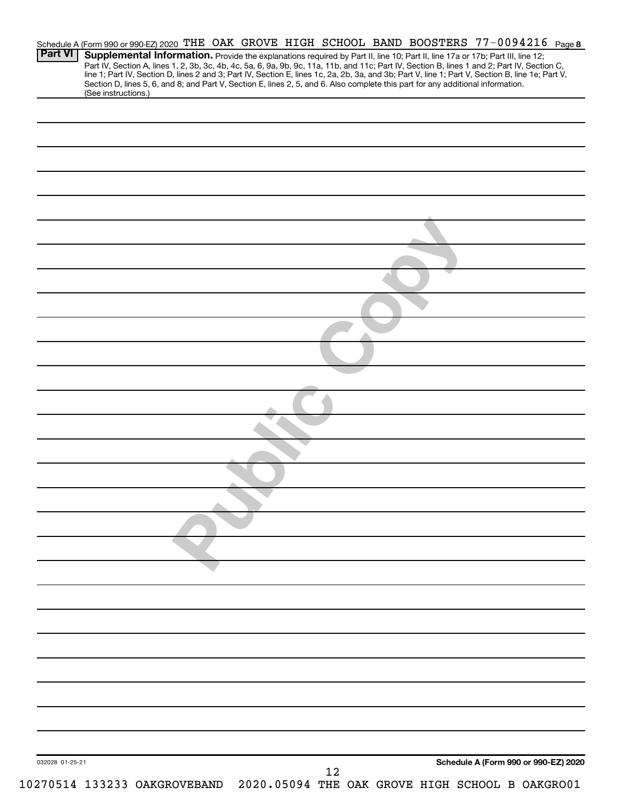|                 | Schedule A (Form 990 or 990-EZ) 2020 THE OAK GROVE HIGH SCHOOL BAND BOOSTERS 77-0094216 Page 8                                                                                                                                                                   |  |  |  |  |                                                                                                                                                                                                                                                                                                  |
|-----------------|------------------------------------------------------------------------------------------------------------------------------------------------------------------------------------------------------------------------------------------------------------------|--|--|--|--|--------------------------------------------------------------------------------------------------------------------------------------------------------------------------------------------------------------------------------------------------------------------------------------------------|
| <b>Part VI</b>  | Supplemental Information. Provide the explanations required by Part II, line 10; Part II, line 17a or 17b; Part III, line 12;<br>Section D, lines 5, 6, and 8; and Part V, Section E, lines 2, 5, and 6. Also complete this part for any additional information. |  |  |  |  | Part IV, Section A, lines 1, 2, 3b, 3c, 4b, 4c, 5a, 6, 9a, 9b, 9c, 11a, 11b, and 11c; Part IV, Section B, lines 1 and 2; Part IV, Section C,<br>line 1; Part IV, Section D, lines 2 and 3; Part IV, Section E, lines 1c, 2a, 2b, 3a, and 3b; Part V, line 1; Part V, Section B, line 1e; Part V, |
|                 | (See instructions.)                                                                                                                                                                                                                                              |  |  |  |  |                                                                                                                                                                                                                                                                                                  |
|                 |                                                                                                                                                                                                                                                                  |  |  |  |  |                                                                                                                                                                                                                                                                                                  |
|                 |                                                                                                                                                                                                                                                                  |  |  |  |  |                                                                                                                                                                                                                                                                                                  |
|                 |                                                                                                                                                                                                                                                                  |  |  |  |  |                                                                                                                                                                                                                                                                                                  |
|                 |                                                                                                                                                                                                                                                                  |  |  |  |  |                                                                                                                                                                                                                                                                                                  |
|                 |                                                                                                                                                                                                                                                                  |  |  |  |  |                                                                                                                                                                                                                                                                                                  |
|                 |                                                                                                                                                                                                                                                                  |  |  |  |  |                                                                                                                                                                                                                                                                                                  |
|                 |                                                                                                                                                                                                                                                                  |  |  |  |  |                                                                                                                                                                                                                                                                                                  |
|                 |                                                                                                                                                                                                                                                                  |  |  |  |  |                                                                                                                                                                                                                                                                                                  |
|                 |                                                                                                                                                                                                                                                                  |  |  |  |  |                                                                                                                                                                                                                                                                                                  |
|                 |                                                                                                                                                                                                                                                                  |  |  |  |  |                                                                                                                                                                                                                                                                                                  |
|                 |                                                                                                                                                                                                                                                                  |  |  |  |  |                                                                                                                                                                                                                                                                                                  |
|                 |                                                                                                                                                                                                                                                                  |  |  |  |  |                                                                                                                                                                                                                                                                                                  |
|                 |                                                                                                                                                                                                                                                                  |  |  |  |  |                                                                                                                                                                                                                                                                                                  |
|                 |                                                                                                                                                                                                                                                                  |  |  |  |  |                                                                                                                                                                                                                                                                                                  |
|                 |                                                                                                                                                                                                                                                                  |  |  |  |  |                                                                                                                                                                                                                                                                                                  |
|                 |                                                                                                                                                                                                                                                                  |  |  |  |  |                                                                                                                                                                                                                                                                                                  |
|                 |                                                                                                                                                                                                                                                                  |  |  |  |  |                                                                                                                                                                                                                                                                                                  |
|                 |                                                                                                                                                                                                                                                                  |  |  |  |  |                                                                                                                                                                                                                                                                                                  |
|                 |                                                                                                                                                                                                                                                                  |  |  |  |  |                                                                                                                                                                                                                                                                                                  |
|                 |                                                                                                                                                                                                                                                                  |  |  |  |  |                                                                                                                                                                                                                                                                                                  |
|                 |                                                                                                                                                                                                                                                                  |  |  |  |  |                                                                                                                                                                                                                                                                                                  |
|                 |                                                                                                                                                                                                                                                                  |  |  |  |  |                                                                                                                                                                                                                                                                                                  |
|                 |                                                                                                                                                                                                                                                                  |  |  |  |  |                                                                                                                                                                                                                                                                                                  |
|                 |                                                                                                                                                                                                                                                                  |  |  |  |  |                                                                                                                                                                                                                                                                                                  |
|                 |                                                                                                                                                                                                                                                                  |  |  |  |  |                                                                                                                                                                                                                                                                                                  |
|                 |                                                                                                                                                                                                                                                                  |  |  |  |  |                                                                                                                                                                                                                                                                                                  |
|                 |                                                                                                                                                                                                                                                                  |  |  |  |  |                                                                                                                                                                                                                                                                                                  |
|                 |                                                                                                                                                                                                                                                                  |  |  |  |  |                                                                                                                                                                                                                                                                                                  |
|                 |                                                                                                                                                                                                                                                                  |  |  |  |  |                                                                                                                                                                                                                                                                                                  |
|                 |                                                                                                                                                                                                                                                                  |  |  |  |  |                                                                                                                                                                                                                                                                                                  |
| 032028 01-25-21 |                                                                                                                                                                                                                                                                  |  |  |  |  | Schedule A (Form 990 or 990-EZ) 2020                                                                                                                                                                                                                                                             |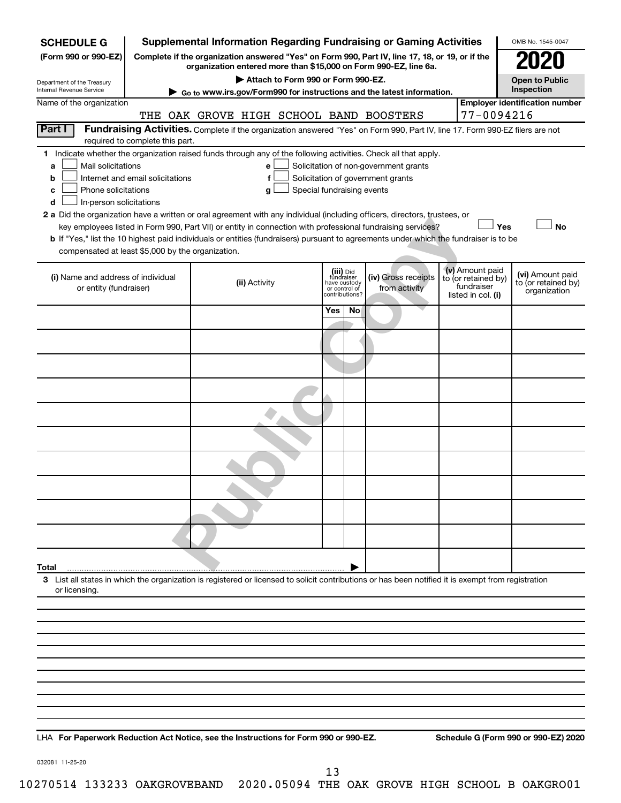| <b>SCHEDULE G</b>                                                                              |                                  | <b>Supplemental Information Regarding Fundraising or Gaming Activities</b>                                                                                                                                                                                                                                                                                                         |                                                                            |                                                                            |                                                                            | OMB No. 1545-0047                                       |
|------------------------------------------------------------------------------------------------|----------------------------------|------------------------------------------------------------------------------------------------------------------------------------------------------------------------------------------------------------------------------------------------------------------------------------------------------------------------------------------------------------------------------------|----------------------------------------------------------------------------|----------------------------------------------------------------------------|----------------------------------------------------------------------------|---------------------------------------------------------|
| (Form 990 or 990-EZ)                                                                           |                                  | Complete if the organization answered "Yes" on Form 990, Part IV, line 17, 18, or 19, or if the                                                                                                                                                                                                                                                                                    |                                                                            |                                                                            |                                                                            |                                                         |
|                                                                                                |                                  | organization entered more than \$15,000 on Form 990-EZ, line 6a.<br>Attach to Form 990 or Form 990-EZ.                                                                                                                                                                                                                                                                             |                                                                            |                                                                            |                                                                            | <b>Open to Public</b>                                   |
| Department of the Treasury<br>Internal Revenue Service                                         |                                  | Go to www.irs.gov/Form990 for instructions and the latest information.                                                                                                                                                                                                                                                                                                             |                                                                            |                                                                            |                                                                            | Inspection                                              |
| Name of the organization                                                                       |                                  |                                                                                                                                                                                                                                                                                                                                                                                    |                                                                            |                                                                            |                                                                            | <b>Employer identification number</b>                   |
|                                                                                                |                                  | THE OAK GROVE HIGH SCHOOL BAND BOOSTERS                                                                                                                                                                                                                                                                                                                                            |                                                                            |                                                                            | 77-0094216                                                                 |                                                         |
| Part I                                                                                         | required to complete this part.  | Fundraising Activities. Complete if the organization answered "Yes" on Form 990, Part IV, line 17. Form 990-EZ filers are not                                                                                                                                                                                                                                                      |                                                                            |                                                                            |                                                                            |                                                         |
| 1.<br>Mail solicitations<br>a<br>b<br>Phone solicitations<br>c<br>In-person solicitations<br>d | Internet and email solicitations | Indicate whether the organization raised funds through any of the following activities. Check all that apply.<br>е<br>f<br>g                                                                                                                                                                                                                                                       | Special fundraising events                                                 | Solicitation of non-government grants<br>Solicitation of government grants |                                                                            |                                                         |
| compensated at least \$5,000 by the organization.                                              |                                  | 2 a Did the organization have a written or oral agreement with any individual (including officers, directors, trustees, or<br>key employees listed in Form 990, Part VII) or entity in connection with professional fundraising services?<br>b If "Yes," list the 10 highest paid individuals or entities (fundraisers) pursuant to agreements under which the fundraiser is to be |                                                                            |                                                                            | Yes                                                                        | No                                                      |
|                                                                                                |                                  |                                                                                                                                                                                                                                                                                                                                                                                    |                                                                            |                                                                            |                                                                            |                                                         |
| (i) Name and address of individual<br>or entity (fundraiser)                                   |                                  | (ii) Activity                                                                                                                                                                                                                                                                                                                                                                      | (iii) Did<br>fundraiser<br>have custody<br>or control of<br>contributions? | (iv) Gross receipts<br>from activity                                       | (v) Amount paid<br>to (or retained by)<br>fundraiser<br>listed in col. (i) | (vi) Amount paid<br>to (or retained by)<br>organization |
|                                                                                                |                                  |                                                                                                                                                                                                                                                                                                                                                                                    | Yes<br>No                                                                  |                                                                            |                                                                            |                                                         |
|                                                                                                |                                  |                                                                                                                                                                                                                                                                                                                                                                                    |                                                                            |                                                                            |                                                                            |                                                         |
|                                                                                                |                                  |                                                                                                                                                                                                                                                                                                                                                                                    |                                                                            |                                                                            |                                                                            |                                                         |
|                                                                                                |                                  |                                                                                                                                                                                                                                                                                                                                                                                    |                                                                            |                                                                            |                                                                            |                                                         |
|                                                                                                |                                  |                                                                                                                                                                                                                                                                                                                                                                                    |                                                                            |                                                                            |                                                                            |                                                         |
|                                                                                                |                                  |                                                                                                                                                                                                                                                                                                                                                                                    |                                                                            |                                                                            |                                                                            |                                                         |
|                                                                                                |                                  |                                                                                                                                                                                                                                                                                                                                                                                    |                                                                            |                                                                            |                                                                            |                                                         |
|                                                                                                |                                  |                                                                                                                                                                                                                                                                                                                                                                                    |                                                                            |                                                                            |                                                                            |                                                         |
|                                                                                                |                                  |                                                                                                                                                                                                                                                                                                                                                                                    |                                                                            |                                                                            |                                                                            |                                                         |
|                                                                                                |                                  |                                                                                                                                                                                                                                                                                                                                                                                    |                                                                            |                                                                            |                                                                            |                                                         |
| Total                                                                                          |                                  |                                                                                                                                                                                                                                                                                                                                                                                    |                                                                            |                                                                            |                                                                            |                                                         |
| or licensing.                                                                                  |                                  | 3 List all states in which the organization is registered or licensed to solicit contributions or has been notified it is exempt from registration                                                                                                                                                                                                                                 |                                                                            |                                                                            |                                                                            |                                                         |
|                                                                                                |                                  |                                                                                                                                                                                                                                                                                                                                                                                    |                                                                            |                                                                            |                                                                            |                                                         |
|                                                                                                |                                  |                                                                                                                                                                                                                                                                                                                                                                                    |                                                                            |                                                                            |                                                                            |                                                         |
|                                                                                                |                                  |                                                                                                                                                                                                                                                                                                                                                                                    |                                                                            |                                                                            |                                                                            |                                                         |
|                                                                                                |                                  |                                                                                                                                                                                                                                                                                                                                                                                    |                                                                            |                                                                            |                                                                            |                                                         |
|                                                                                                |                                  |                                                                                                                                                                                                                                                                                                                                                                                    |                                                                            |                                                                            |                                                                            |                                                         |
|                                                                                                |                                  |                                                                                                                                                                                                                                                                                                                                                                                    |                                                                            |                                                                            |                                                                            |                                                         |
|                                                                                                |                                  |                                                                                                                                                                                                                                                                                                                                                                                    |                                                                            |                                                                            |                                                                            |                                                         |
|                                                                                                |                                  |                                                                                                                                                                                                                                                                                                                                                                                    |                                                                            |                                                                            |                                                                            |                                                         |
|                                                                                                |                                  |                                                                                                                                                                                                                                                                                                                                                                                    |                                                                            |                                                                            |                                                                            |                                                         |

**For Paperwork Reduction Act Notice, see the Instructions for Form 990 or 990-EZ. Schedule G (Form 990 or 990-EZ) 2020** LHA

032081 11-25-20

13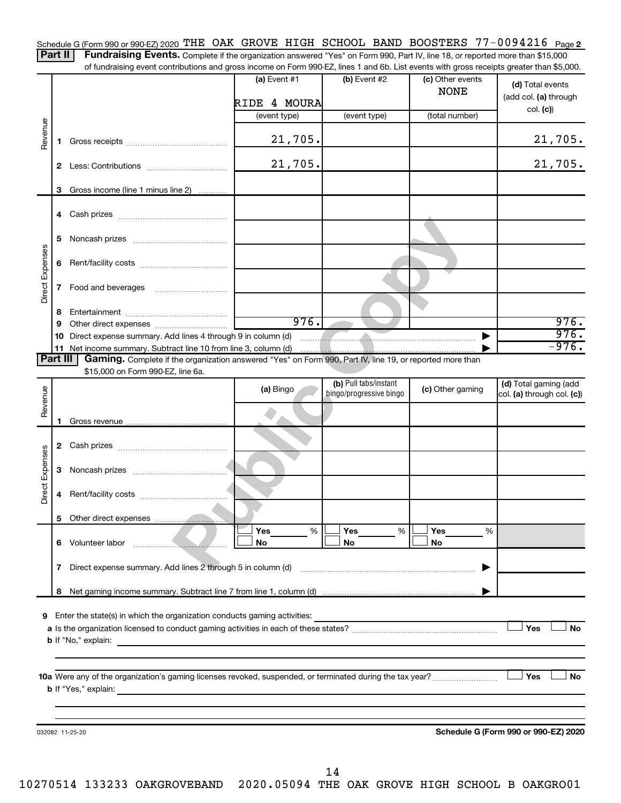Schedule G (Form 990 or 990-EZ) 2020 THE OAK GROVE HIGH SCHOOL BAND BOOSTERS 77-0094216 <sub>Page 2</sub> Part II | Fundraising Events. Complete if the organization answered "Yes" on Form 990, Part IV, line 18, or reported more than \$15,000

of fundraising event contributions and gross income on Form 990-EZ, lines 1 and 6b. List events with gross receipts greater than \$5,000.

|                 |                                                                                                                      |                                                                            | (a) Event #1<br>4 MOURA<br>RIDE | $(b)$ Event #2                                                                                                          | (c) Other events<br><b>NONE</b> | (d) Total events<br>(add col. (a) through<br>col. (c) |  |  |  |  |  |  |
|-----------------|----------------------------------------------------------------------------------------------------------------------|----------------------------------------------------------------------------|---------------------------------|-------------------------------------------------------------------------------------------------------------------------|---------------------------------|-------------------------------------------------------|--|--|--|--|--|--|
|                 |                                                                                                                      |                                                                            | (event type)                    | (event type)                                                                                                            | (total number)                  |                                                       |  |  |  |  |  |  |
| Revenue         | 1.                                                                                                                   |                                                                            | 21,705.                         |                                                                                                                         |                                 | 21,705.                                               |  |  |  |  |  |  |
|                 | $\mathbf{2}$                                                                                                         |                                                                            | 21,705.                         |                                                                                                                         |                                 | 21,705.                                               |  |  |  |  |  |  |
|                 | 3                                                                                                                    | Gross income (line 1 minus line 2)                                         |                                 |                                                                                                                         |                                 |                                                       |  |  |  |  |  |  |
|                 |                                                                                                                      |                                                                            |                                 |                                                                                                                         |                                 |                                                       |  |  |  |  |  |  |
|                 | 5                                                                                                                    |                                                                            |                                 |                                                                                                                         |                                 |                                                       |  |  |  |  |  |  |
|                 | 6                                                                                                                    |                                                                            |                                 |                                                                                                                         |                                 |                                                       |  |  |  |  |  |  |
| Direct Expenses | $\mathbf{7}$                                                                                                         |                                                                            |                                 |                                                                                                                         |                                 |                                                       |  |  |  |  |  |  |
|                 | 8                                                                                                                    |                                                                            | 976.                            |                                                                                                                         |                                 |                                                       |  |  |  |  |  |  |
|                 | 9                                                                                                                    | 10 Direct expense summary. Add lines 4 through 9 in column (d)             |                                 | <u> Estados de Santo de Santo de Santo de Santo de Santo de Santo de Santo de Santo de Santo de Santo de Santo de S</u> |                                 | 976.<br>976.                                          |  |  |  |  |  |  |
|                 |                                                                                                                      | 11 Net income summary. Subtract line 10 from line 3, column (d)            |                                 |                                                                                                                         |                                 | $-976.$                                               |  |  |  |  |  |  |
|                 | Part III<br>Gaming. Complete if the organization answered "Yes" on Form 990, Part IV, line 19, or reported more than |                                                                            |                                 |                                                                                                                         |                                 |                                                       |  |  |  |  |  |  |
|                 |                                                                                                                      | \$15,000 on Form 990-EZ, line 6a.                                          |                                 |                                                                                                                         |                                 |                                                       |  |  |  |  |  |  |
| Revenue         |                                                                                                                      |                                                                            | (a) Bingo                       | (b) Pull tabs/instant<br>bingo/progressive bingo                                                                        | (c) Other gaming                | (d) Total gaming (add<br>col. (a) through col. (c))   |  |  |  |  |  |  |
|                 | 1.                                                                                                                   |                                                                            |                                 |                                                                                                                         |                                 |                                                       |  |  |  |  |  |  |
|                 |                                                                                                                      |                                                                            |                                 |                                                                                                                         |                                 |                                                       |  |  |  |  |  |  |
| Direct Expenses | 3                                                                                                                    |                                                                            |                                 |                                                                                                                         |                                 |                                                       |  |  |  |  |  |  |
|                 | 4                                                                                                                    |                                                                            |                                 |                                                                                                                         |                                 |                                                       |  |  |  |  |  |  |
|                 |                                                                                                                      |                                                                            |                                 |                                                                                                                         |                                 |                                                       |  |  |  |  |  |  |
|                 |                                                                                                                      | 6 Volunteer labor                                                          | Yes<br>%<br>No                  | %<br>Yes<br>No                                                                                                          | Yes<br>%<br>No                  |                                                       |  |  |  |  |  |  |
|                 | 7                                                                                                                    | Direct expense summary. Add lines 2 through 5 in column (d)                |                                 |                                                                                                                         |                                 |                                                       |  |  |  |  |  |  |
|                 |                                                                                                                      |                                                                            |                                 |                                                                                                                         |                                 |                                                       |  |  |  |  |  |  |
|                 |                                                                                                                      |                                                                            |                                 |                                                                                                                         |                                 |                                                       |  |  |  |  |  |  |
|                 |                                                                                                                      | 9 Enter the state(s) in which the organization conducts gaming activities: |                                 |                                                                                                                         |                                 |                                                       |  |  |  |  |  |  |
|                 |                                                                                                                      |                                                                            |                                 | Yes<br><b>No</b>                                                                                                        |                                 |                                                       |  |  |  |  |  |  |
|                 |                                                                                                                      |                                                                            |                                 |                                                                                                                         |                                 |                                                       |  |  |  |  |  |  |
|                 |                                                                                                                      |                                                                            |                                 |                                                                                                                         |                                 |                                                       |  |  |  |  |  |  |
|                 |                                                                                                                      |                                                                            |                                 |                                                                                                                         |                                 | Yes<br>No                                             |  |  |  |  |  |  |
|                 |                                                                                                                      |                                                                            |                                 |                                                                                                                         |                                 |                                                       |  |  |  |  |  |  |
|                 |                                                                                                                      | 032082 11-25-20                                                            |                                 |                                                                                                                         |                                 | Schedule G (Form 990 or 990-EZ) 2020                  |  |  |  |  |  |  |
|                 |                                                                                                                      |                                                                            |                                 |                                                                                                                         |                                 |                                                       |  |  |  |  |  |  |
|                 |                                                                                                                      |                                                                            |                                 | 14                                                                                                                      |                                 |                                                       |  |  |  |  |  |  |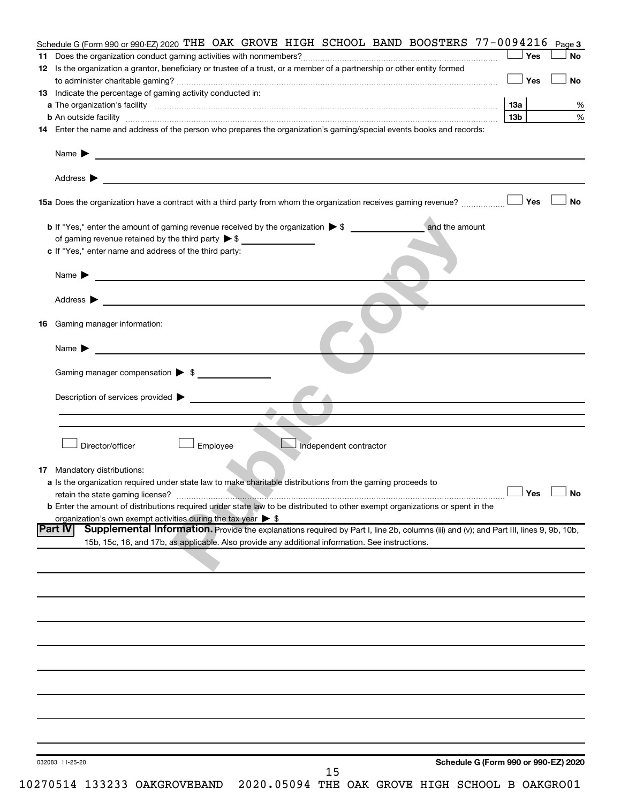|     | Schedule G (Form 990 or 990-EZ) 2020 THE OAK GROVE HIGH SCHOOL BAND BOOSTERS $77-0094216$ Page 3                                                                                                      |                      |           |
|-----|-------------------------------------------------------------------------------------------------------------------------------------------------------------------------------------------------------|----------------------|-----------|
| 11. |                                                                                                                                                                                                       | Yes                  | No        |
|     | 12 Is the organization a grantor, beneficiary or trustee of a trust, or a member of a partnership or other entity formed                                                                              |                      |           |
|     |                                                                                                                                                                                                       | $\Box$ Yes           | <b>No</b> |
|     | 13 Indicate the percentage of gaming activity conducted in:                                                                                                                                           |                      |           |
|     |                                                                                                                                                                                                       | 13a                  | %         |
|     | <b>b</b> An outside facility <i>www.communicality www.communicality.communicality www.communicality www.communicality www.communicality www.communicality www.communicality www.communicality.com</i> | 13b                  | $\%$      |
|     | 14 Enter the name and address of the person who prepares the organization's gaming/special events books and records:                                                                                  |                      |           |
|     |                                                                                                                                                                                                       |                      |           |
|     | Name $\blacktriangleright$                                                                                                                                                                            |                      |           |
|     |                                                                                                                                                                                                       |                      |           |
|     | Address $\blacktriangleright$                                                                                                                                                                         |                      |           |
|     |                                                                                                                                                                                                       |                      |           |
|     |                                                                                                                                                                                                       |                      | <b>No</b> |
|     |                                                                                                                                                                                                       |                      |           |
|     | <b>b</b> If "Yes," enter the amount of gaming revenue received by the organization $\triangleright$ \$<br>and the amount                                                                              |                      |           |
|     | of gaming revenue retained by the third party $\triangleright$ \$                                                                                                                                     |                      |           |
|     | c If "Yes," enter name and address of the third party:                                                                                                                                                |                      |           |
|     |                                                                                                                                                                                                       |                      |           |
|     | Name $\blacktriangleright$<br><u> 1989 - Johann Stein, marwolaethau a bhann an t-Amhainn an t-Amhainn an t-Amhainn an t-Amhainn an t-Amhainn an</u>                                                   |                      |           |
|     |                                                                                                                                                                                                       |                      |           |
|     | Address $\blacktriangleright$                                                                                                                                                                         |                      |           |
|     |                                                                                                                                                                                                       |                      |           |
| 16  | Gaming manager information:                                                                                                                                                                           |                      |           |
|     |                                                                                                                                                                                                       |                      |           |
|     | Name $\blacktriangleright$                                                                                                                                                                            |                      |           |
|     |                                                                                                                                                                                                       |                      |           |
|     | Gaming manager compensation $\triangleright$ \$                                                                                                                                                       |                      |           |
|     |                                                                                                                                                                                                       |                      |           |
|     | Description of services provided >                                                                                                                                                                    |                      |           |
|     |                                                                                                                                                                                                       |                      |           |
|     |                                                                                                                                                                                                       |                      |           |
|     |                                                                                                                                                                                                       |                      |           |
|     | Director/officer<br>Employee<br>Independent contractor                                                                                                                                                |                      |           |
|     |                                                                                                                                                                                                       |                      |           |
|     | 17 Mandatory distributions:                                                                                                                                                                           |                      |           |
|     | a Is the organization required under state law to make charitable distributions from the gaming proceeds to                                                                                           |                      |           |
|     | retain the state gaming license?                                                                                                                                                                      | $\Box$ Yes $\Box$ No |           |
|     | <b>b</b> Enter the amount of distributions required under state law to be distributed to other exempt organizations or spent in the                                                                   |                      |           |
|     | organization's own exempt activities during the tax year $\triangleright$ \$                                                                                                                          |                      |           |
|     | Supplemental Information. Provide the explanations required by Part I, line 2b, columns (iii) and (v); and Part III, lines 9, 9b, 10b,<br> Part IV                                                    |                      |           |
|     | 15b, 15c, 16, and 17b, as applicable. Also provide any additional information. See instructions.                                                                                                      |                      |           |
|     |                                                                                                                                                                                                       |                      |           |
|     |                                                                                                                                                                                                       |                      |           |
|     |                                                                                                                                                                                                       |                      |           |
|     |                                                                                                                                                                                                       |                      |           |
|     |                                                                                                                                                                                                       |                      |           |
|     |                                                                                                                                                                                                       |                      |           |
|     |                                                                                                                                                                                                       |                      |           |
|     |                                                                                                                                                                                                       |                      |           |
|     |                                                                                                                                                                                                       |                      |           |
|     |                                                                                                                                                                                                       |                      |           |
|     |                                                                                                                                                                                                       |                      |           |
|     |                                                                                                                                                                                                       |                      |           |
|     |                                                                                                                                                                                                       |                      |           |
|     |                                                                                                                                                                                                       |                      |           |
|     |                                                                                                                                                                                                       |                      |           |
|     |                                                                                                                                                                                                       |                      |           |
|     |                                                                                                                                                                                                       |                      |           |
|     |                                                                                                                                                                                                       |                      |           |
|     | Schedule G (Form 990 or 990-EZ) 2020<br>032083 11-25-20                                                                                                                                               |                      |           |
|     | 15                                                                                                                                                                                                    |                      |           |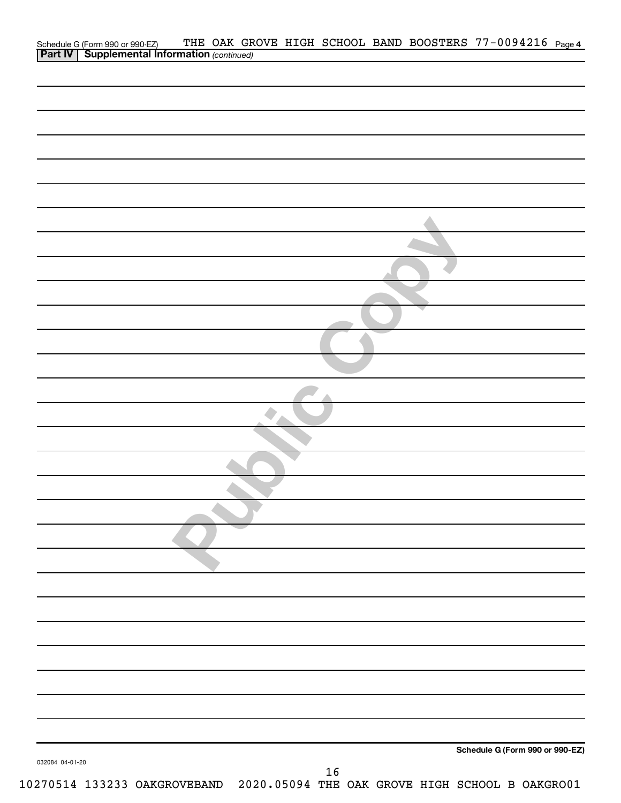|                 | Schedule G (Form 990 or 990-EZ) THE OAK GR<br><b>Part IV   Supplemental Information</b> (continued) |  |        |  | THE OAK GROVE HIGH SCHOOL BAND BOOSTERS 77-0094216 Page 4 |  |
|-----------------|-----------------------------------------------------------------------------------------------------|--|--------|--|-----------------------------------------------------------|--|
|                 |                                                                                                     |  |        |  |                                                           |  |
|                 |                                                                                                     |  |        |  |                                                           |  |
|                 |                                                                                                     |  |        |  |                                                           |  |
|                 |                                                                                                     |  |        |  |                                                           |  |
|                 |                                                                                                     |  |        |  |                                                           |  |
|                 |                                                                                                     |  |        |  |                                                           |  |
|                 |                                                                                                     |  |        |  |                                                           |  |
|                 |                                                                                                     |  |        |  |                                                           |  |
|                 |                                                                                                     |  |        |  |                                                           |  |
|                 |                                                                                                     |  |        |  |                                                           |  |
|                 |                                                                                                     |  |        |  |                                                           |  |
|                 |                                                                                                     |  |        |  |                                                           |  |
|                 |                                                                                                     |  |        |  |                                                           |  |
|                 |                                                                                                     |  |        |  |                                                           |  |
|                 |                                                                                                     |  |        |  |                                                           |  |
|                 |                                                                                                     |  |        |  |                                                           |  |
|                 |                                                                                                     |  |        |  |                                                           |  |
|                 |                                                                                                     |  |        |  |                                                           |  |
|                 |                                                                                                     |  |        |  |                                                           |  |
|                 |                                                                                                     |  |        |  |                                                           |  |
|                 |                                                                                                     |  |        |  |                                                           |  |
|                 |                                                                                                     |  |        |  |                                                           |  |
|                 |                                                                                                     |  |        |  |                                                           |  |
|                 |                                                                                                     |  |        |  |                                                           |  |
|                 |                                                                                                     |  |        |  |                                                           |  |
|                 |                                                                                                     |  |        |  |                                                           |  |
|                 |                                                                                                     |  |        |  |                                                           |  |
|                 |                                                                                                     |  |        |  |                                                           |  |
|                 |                                                                                                     |  |        |  |                                                           |  |
|                 |                                                                                                     |  |        |  |                                                           |  |
|                 |                                                                                                     |  |        |  |                                                           |  |
|                 |                                                                                                     |  |        |  |                                                           |  |
|                 |                                                                                                     |  |        |  |                                                           |  |
|                 |                                                                                                     |  |        |  |                                                           |  |
|                 |                                                                                                     |  |        |  |                                                           |  |
|                 |                                                                                                     |  |        |  |                                                           |  |
|                 |                                                                                                     |  |        |  |                                                           |  |
|                 |                                                                                                     |  |        |  | Schedule G (Form 990 or 990-EZ)                           |  |
| 032084 04-01-20 |                                                                                                     |  | $16\,$ |  |                                                           |  |